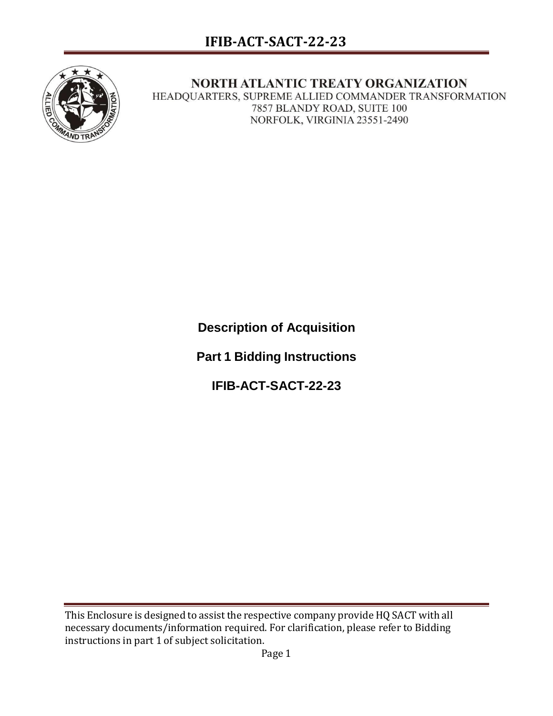

NORTH ATLANTIC TREATY ORGANIZATION

HEADQUARTERS, SUPREME ALLIED COMMANDER TRANSFORMATION 7857 BLANDY ROAD, SUITE 100 NORFOLK, VIRGINIA 23551-2490

**Description of Acquisition**

**Part 1 Bidding Instructions**

**IFIB-ACT-SACT-22-23**

This Enclosure is designed to assist the respective company provide HQ SACT with all necessary documents/information required. For clarification, please refer to Bidding instructions in part 1 of subject solicitation.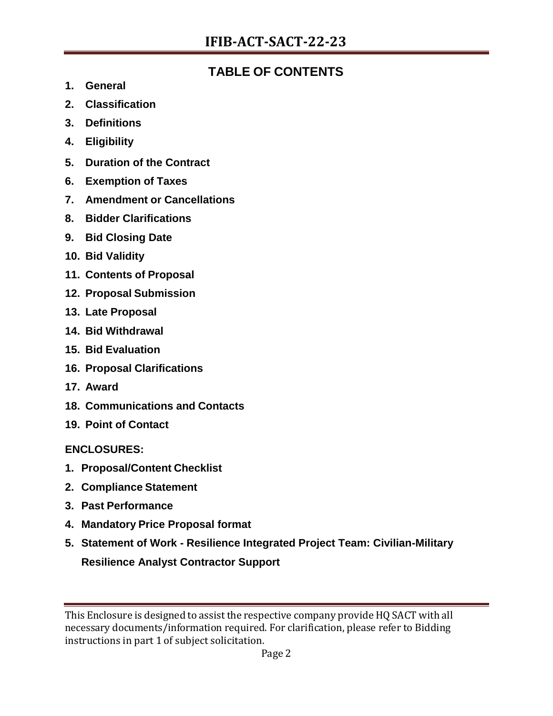# **TABLE OF CONTENTS**

- **1. General**
- **2. Classification**
- **3. Definitions**
- **4. Eligibility**
- **5. Duration of the Contract**
- **6. Exemption of Taxes**
- **7. Amendment or Cancellations**
- **8. Bidder Clarifications**
- **9. Bid Closing Date**
- **10. Bid Validity**
- **11. Contents of Proposal**
- **12. Proposal Submission**
- **13. Late Proposal**
- **14. Bid Withdrawal**
- **15. Bid Evaluation**
- **16. Proposal Clarifications**
- **17. Award**
- **18. Communications and Contacts**
- **19. Point of Contact**

**ENCLOSURES:**

- **1. Proposal/Content Checklist**
- **2. Compliance Statement**
- **3. Past Performance**
- **4. Mandatory Price Proposal format**
- **5. Statement of Work - Resilience Integrated Project Team: Civilian-Military Resilience Analyst Contractor Support**

This Enclosure is designed to assist the respective company provide HQ SACT with all necessary documents/information required. For clarification, please refer to Bidding instructions in part 1 of subject solicitation.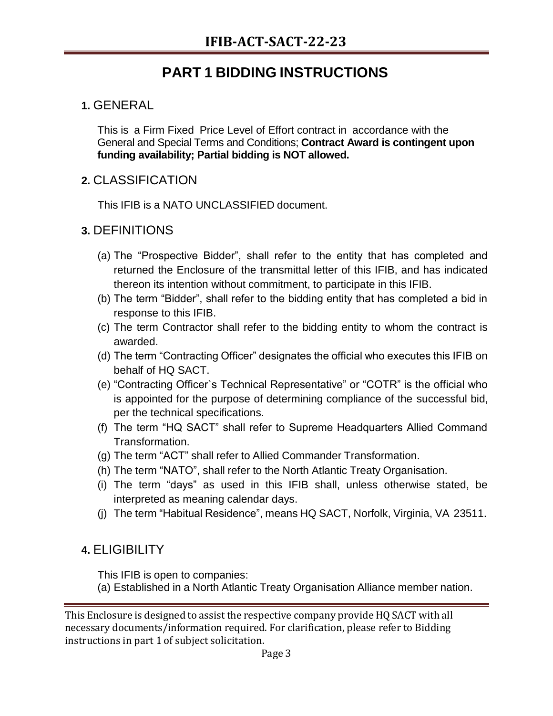# **PART 1 BIDDING INSTRUCTIONS**

# **1.** GENERAL

This is a Firm Fixed Price Level of Effort contract in accordance with the General and Special Terms and Conditions; **Contract Award is contingent upon funding availability; Partial bidding is NOT allowed.**

# **2.** CLASSIFICATION

This IFIB is a NATO UNCLASSIFIED document.

# **3.** DEFINITIONS

- (a) The "Prospective Bidder", shall refer to the entity that has completed and returned the Enclosure of the transmittal letter of this IFIB, and has indicated thereon its intention without commitment, to participate in this IFIB.
- (b) The term "Bidder", shall refer to the bidding entity that has completed a bid in response to this IFIB.
- (c) The term Contractor shall refer to the bidding entity to whom the contract is awarded.
- (d) The term "Contracting Officer" designates the official who executes this IFIB on behalf of HQ SACT.
- (e) "Contracting Officer`s Technical Representative" or "COTR" is the official who is appointed for the purpose of determining compliance of the successful bid, per the technical specifications.
- (f) The term "HQ SACT" shall refer to Supreme Headquarters Allied Command Transformation.
- (g) The term "ACT" shall refer to Allied Commander Transformation.
- (h) The term "NATO", shall refer to the North Atlantic Treaty Organisation.
- (i) The term "days" as used in this IFIB shall, unless otherwise stated, be interpreted as meaning calendar days.
- (j) The term "Habitual Residence", means HQ SACT, Norfolk, Virginia, VA 23511.

# **4.** ELIGIBILITY

This IFIB is open to companies:

(a) Established in a North Atlantic Treaty Organisation Alliance member nation.

This Enclosure is designed to assist the respective company provide HQ SACT with all necessary documents/information required. For clarification, please refer to Bidding instructions in part 1 of subject solicitation.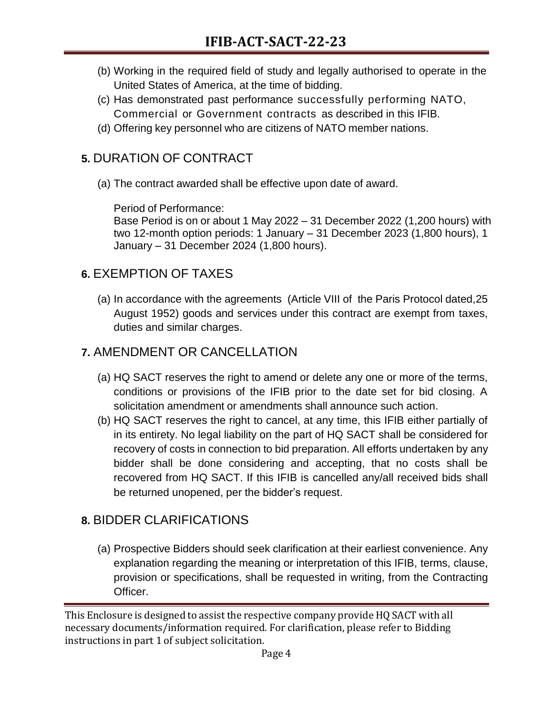- (b) Working in the required field of study and legally authorised to operate in the United States of America, at the time of bidding.
- (c) Has demonstrated past performance successfully performing NATO, Commercial or Government contracts as described in this IFIB.
- (d) Offering key personnel who are citizens of NATO member nations.

# **5.** DURATION OF CONTRACT

(a) The contract awarded shall be effective upon date of award.

Period of Performance:

Base Period is on or about 1 May 2022 – 31 December 2022 (1,200 hours) with two 12-month option periods: 1 January – 31 December 2023 (1,800 hours), 1 January – 31 December 2024 (1,800 hours).

# **6.** EXEMPTION OF TAXES

(a) In accordance with the agreements (Article VIII of the Paris Protocol dated,25 August 1952) goods and services under this contract are exempt from taxes, duties and similar charges.

# **7.** AMENDMENT OR CANCELLATION

- (a) HQ SACT reserves the right to amend or delete any one or more of the terms, conditions or provisions of the IFIB prior to the date set for bid closing. A solicitation amendment or amendments shall announce such action.
- (b) HQ SACT reserves the right to cancel, at any time, this IFIB either partially of in its entirety. No legal liability on the part of HQ SACT shall be considered for recovery of costs in connection to bid preparation. All efforts undertaken by any bidder shall be done considering and accepting, that no costs shall be recovered from HQ SACT. If this IFIB is cancelled any/all received bids shall be returned unopened, per the bidder's request.

# **8.** BIDDER CLARIFICATIONS

(a) Prospective Bidders should seek clarification at their earliest convenience. Any explanation regarding the meaning or interpretation of this IFIB, terms, clause, provision or specifications, shall be requested in writing, from the Contracting Officer.

This Enclosure is designed to assist the respective company provide HQ SACT with all necessary documents/information required. For clarification, please refer to Bidding instructions in part 1 of subject solicitation.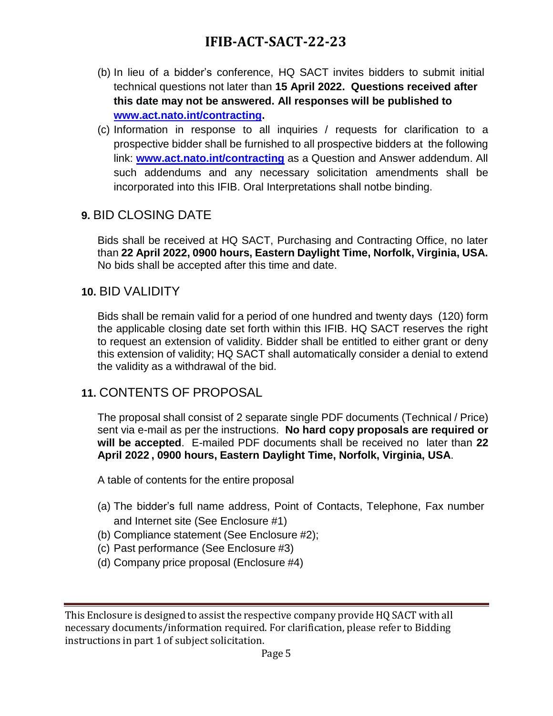# **IFIB-ACT-SACT-22-23**

- (b) In lieu of a bidder's conference, HQ SACT invites bidders to submit initial technical questions not later than **15 April 2022. Questions received after this date may not be answered. All responses will be published to [www.act.nato.int/contracting.](http://www.act.nato.int/contracting)**
- (c) Information in response to all inquiries / requests for clarification to a prospective bidder shall be furnished to all prospective bidders at the following link: **[www.act.nato.int/contracting](http://www.act.nato.int/contracting)** as a Question and Answer addendum. All such addendums and any necessary solicitation amendments shall be incorporated into this IFIB. Oral Interpretations shall notbe binding.

## **9.** BID CLOSING DATE

Bids shall be received at HQ SACT, Purchasing and Contracting Office, no later than **22 April 2022, 0900 hours, Eastern Daylight Time, Norfolk, Virginia, USA.**  No bids shall be accepted after this time and date.

## **10.** BID VALIDITY

Bids shall be remain valid for a period of one hundred and twenty days (120) form the applicable closing date set forth within this IFIB. HQ SACT reserves the right to request an extension of validity. Bidder shall be entitled to either grant or deny this extension of validity; HQ SACT shall automatically consider a denial to extend the validity as a withdrawal of the bid.

## **11.** CONTENTS OF PROPOSAL

The proposal shall consist of 2 separate single PDF documents (Technical / Price) sent via e-mail as per the instructions. **No hard copy proposals are required or will be accepted**. E-mailed PDF documents shall be received no later than **22 April 2022 , 0900 hours, Eastern Daylight Time, Norfolk, Virginia, USA**.

A table of contents for the entire proposal

- (a) The bidder's full name address, Point of Contacts, Telephone, Fax number and Internet site (See Enclosure #1)
- (b) Compliance statement (See Enclosure #2);
- (c) Past performance (See Enclosure #3)
- (d) Company price proposal (Enclosure #4)

This Enclosure is designed to assist the respective company provide HQ SACT with all necessary documents/information required. For clarification, please refer to Bidding instructions in part 1 of subject solicitation.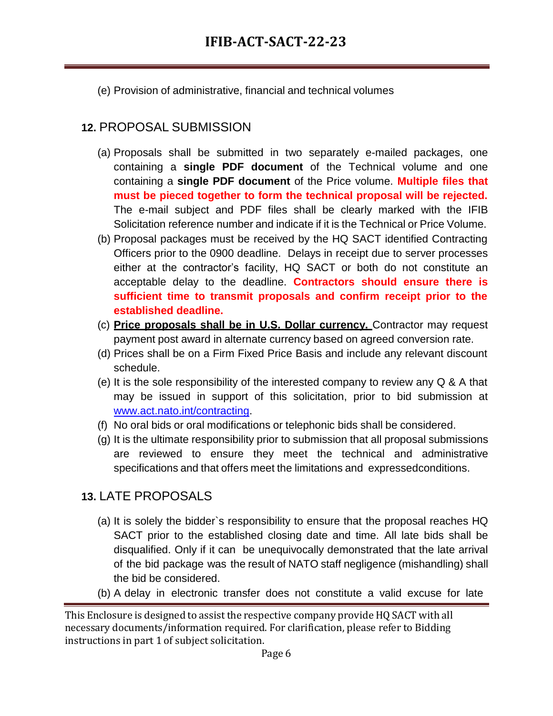(e) Provision of administrative, financial and technical volumes

# **12.** PROPOSAL SUBMISSION

- (a) Proposals shall be submitted in two separately e-mailed packages, one containing a **single PDF document** of the Technical volume and one containing a **single PDF document** of the Price volume. **Multiple files that must be pieced together to form the technical proposal will be rejected.** The e-mail subject and PDF files shall be clearly marked with the IFIB Solicitation reference number and indicate if it is the Technical or Price Volume.
- (b) Proposal packages must be received by the HQ SACT identified Contracting Officers prior to the 0900 deadline. Delays in receipt due to server processes either at the contractor's facility, HQ SACT or both do not constitute an acceptable delay to the deadline. **Contractors should ensure there is sufficient time to transmit proposals and confirm receipt prior to the established deadline.**
- (c) **Price proposals shall be in U.S. Dollar currency.** Contractor may request payment post award in alternate currency based on agreed conversion rate.
- (d) Prices shall be on a Firm Fixed Price Basis and include any relevant discount schedule.
- (e) It is the sole responsibility of the interested company to review any Q & A that may be issued in support of this solicitation, prior to bid submission at [www.act.nato.int/contracting.](http://www.act.nato.int/contracting)
- (f) No oral bids or oral modifications or telephonic bids shall be considered.
- (g) It is the ultimate responsibility prior to submission that all proposal submissions are reviewed to ensure they meet the technical and administrative specifications and that offers meet the limitations and expressedconditions.

# **13.** LATE PROPOSALS

- (a) It is solely the bidder`s responsibility to ensure that the proposal reaches HQ SACT prior to the established closing date and time. All late bids shall be disqualified. Only if it can be unequivocally demonstrated that the late arrival of the bid package was the result of NATO staff negligence (mishandling) shall the bid be considered.
- (b) A delay in electronic transfer does not constitute a valid excuse for late

This Enclosure is designed to assist the respective company provide HQ SACT with all necessary documents/information required. For clarification, please refer to Bidding instructions in part 1 of subject solicitation.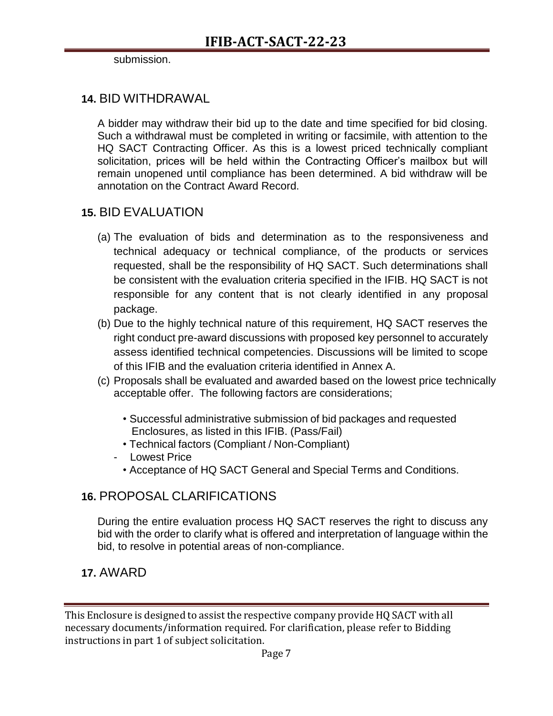#### submission.

## **14.** BID WITHDRAWAL

A bidder may withdraw their bid up to the date and time specified for bid closing. Such a withdrawal must be completed in writing or facsimile, with attention to the HQ SACT Contracting Officer. As this is a lowest priced technically compliant solicitation, prices will be held within the Contracting Officer's mailbox but will remain unopened until compliance has been determined. A bid withdraw will be annotation on the Contract Award Record.

## **15.** BID EVALUATION

- (a) The evaluation of bids and determination as to the responsiveness and technical adequacy or technical compliance, of the products or services requested, shall be the responsibility of HQ SACT. Such determinations shall be consistent with the evaluation criteria specified in the IFIB. HQ SACT is not responsible for any content that is not clearly identified in any proposal package.
- (b) Due to the highly technical nature of this requirement, HQ SACT reserves the right conduct pre-award discussions with proposed key personnel to accurately assess identified technical competencies. Discussions will be limited to scope of this IFIB and the evaluation criteria identified in Annex A.
- (c) Proposals shall be evaluated and awarded based on the lowest price technically acceptable offer. The following factors are considerations;
	- Successful administrative submission of bid packages and requested Enclosures, as listed in this IFIB. (Pass/Fail)
	- Technical factors (Compliant / Non-Compliant)
	- Lowest Price
		- Acceptance of HQ SACT General and Special Terms and Conditions.

## **16.** PROPOSAL CLARIFICATIONS

During the entire evaluation process HQ SACT reserves the right to discuss any bid with the order to clarify what is offered and interpretation of language within the bid, to resolve in potential areas of non-compliance.

## **17.** AWARD

This Enclosure is designed to assist the respective company provide HQ SACT with all necessary documents/information required. For clarification, please refer to Bidding instructions in part 1 of subject solicitation.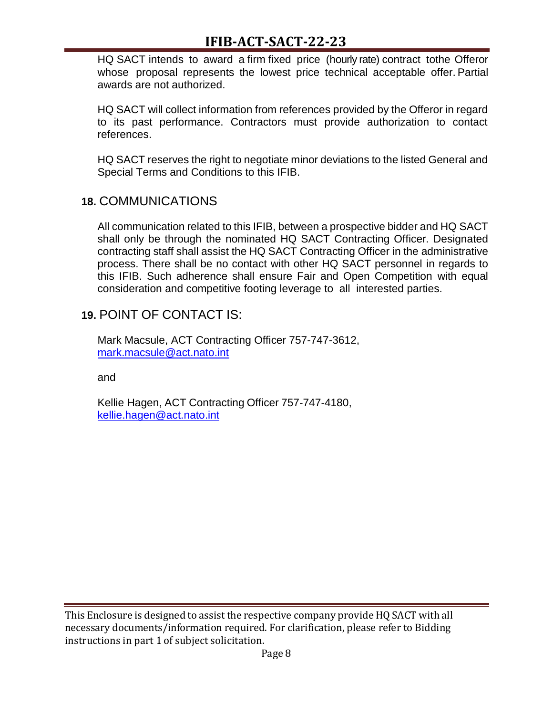# **IFIB-ACT-SACT-22-23**

HQ SACT intends to award a firm fixed price (hourly rate) contract tothe Offeror whose proposal represents the lowest price technical acceptable offer. Partial awards are not authorized.

HQ SACT will collect information from references provided by the Offeror in regard to its past performance. Contractors must provide authorization to contact references.

HQ SACT reserves the right to negotiate minor deviations to the listed General and Special Terms and Conditions to this IFIB.

## **18.** COMMUNICATIONS

All communication related to this IFIB, between a prospective bidder and HQ SACT shall only be through the nominated HQ SACT Contracting Officer. Designated contracting staff shall assist the HQ SACT Contracting Officer in the administrative process. There shall be no contact with other HQ SACT personnel in regards to this IFIB. Such adherence shall ensure Fair and Open Competition with equal consideration and competitive footing leverage to all interested parties.

## **19.** POINT OF CONTACT IS:

Mark Macsule, ACT Contracting Officer 757-747-3612, [mark.macsule@act.nato.int](mailto:mark.macsule@act.nato.int)

and

Kellie Hagen, ACT Contracting Officer 757-747-4180, [kellie.hagen@act.nato.int](mailto:kellie.hagen@act.nato.int)

This Enclosure is designed to assist the respective company provide HQ SACT with all necessary documents/information required. For clarification, please refer to Bidding instructions in part 1 of subject solicitation.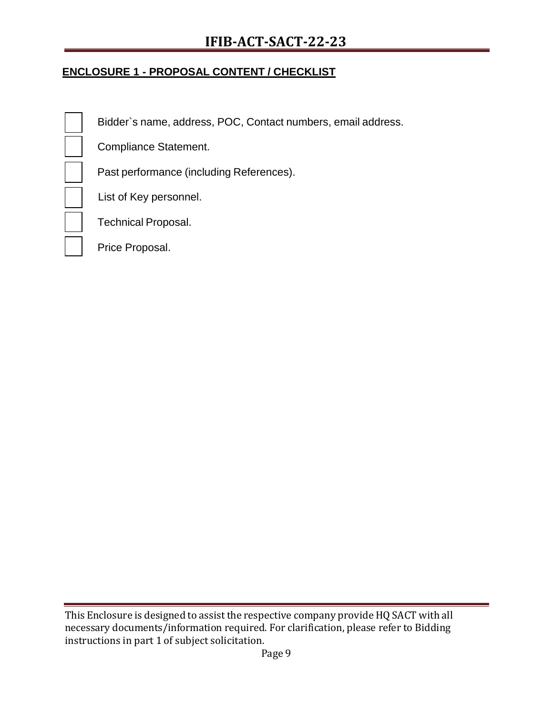# **IFIB-ACT-SACT-22-23**

## **ENCLOSURE 1 - PROPOSAL CONTENT / CHECKLIST**

Bidder`s name, address, POC, Contact numbers, email address.

Compliance Statement.

Past performance (including References).

List of Key personnel.

Technical Proposal.

Price Proposal.

This Enclosure is designed to assist the respective company provide HQ SACT with all necessary documents/information required. For clarification, please refer to Bidding instructions in part 1 of subject solicitation.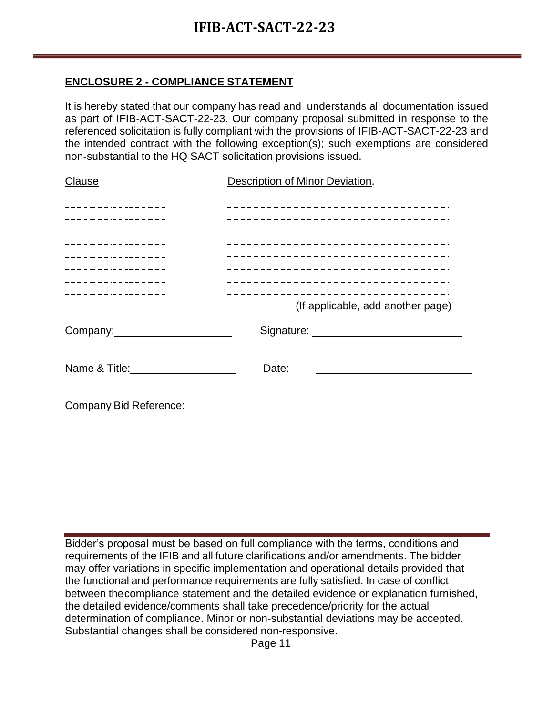## **ENCLOSURE 2 - COMPLIANCE STATEMENT**

It is hereby stated that our company has read and understands all documentation issued as part of IFIB-ACT-SACT-22-23. Our company proposal submitted in response to the referenced solicitation is fully compliant with the provisions of IFIB-ACT-SACT-22-23 and the intended contract with the following exception(s); such exemptions are considered non-substantial to the HQ SACT solicitation provisions issued.

| <b>Clause</b>                                         | Description of Minor Deviation.                                                 |
|-------------------------------------------------------|---------------------------------------------------------------------------------|
| _________________                                     | _____________________________________                                           |
| ----------------<br>_ _ _ _ _ _ _ _ _ _ _ _ _ _ _ _ _ | __________________________________<br>_____________________________________     |
| ----------------                                      | ______________________________________                                          |
| ----------------<br>_________________                 | ______________________________________<br>_____________________________________ |
| _________________<br>_________________                | ____________________________________                                            |
|                                                       | (If applicable, add another page)                                               |
| Company: Company:                                     |                                                                                 |
|                                                       | Date:                                                                           |
|                                                       |                                                                                 |

Bidder's proposal must be based on full compliance with the terms, conditions and requirements of the IFIB and all future clarifications and/or amendments. The bidder may offer variations in specific implementation and operational details provided that the functional and performance requirements are fully satisfied. In case of conflict between thecompliance statement and the detailed evidence or explanation furnished, the detailed evidence/comments shall take precedence/priority for the actual determination of compliance. Minor or non-substantial deviations may be accepted. Substantial changes shall be considered non-responsive.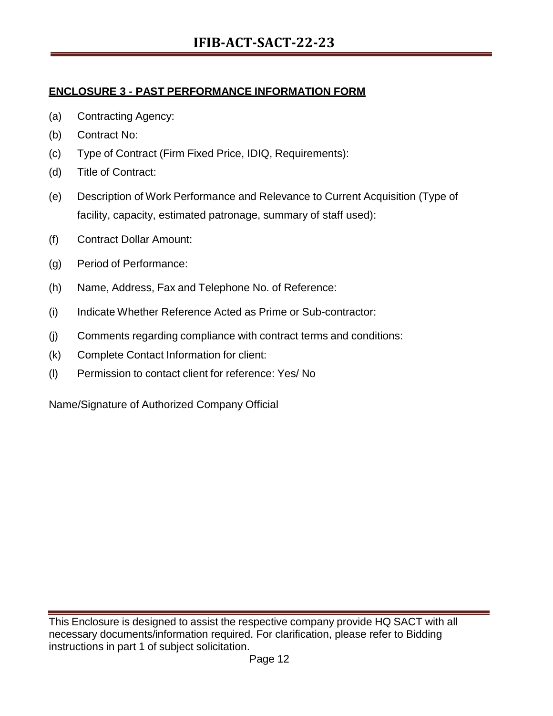## **ENCLOSURE 3 - PAST PERFORMANCE INFORMATION FORM**

- (a) Contracting Agency:
- (b) Contract No:
- (c) Type of Contract (Firm Fixed Price, IDIQ, Requirements):
- (d) Title of Contract:
- (e) Description of Work Performance and Relevance to Current Acquisition (Type of facility, capacity, estimated patronage, summary of staff used):
- (f) Contract Dollar Amount:
- (g) Period of Performance:
- (h) Name, Address, Fax and Telephone No. of Reference:
- (i) Indicate Whether Reference Acted as Prime or Sub-contractor:
- (j) Comments regarding compliance with contract terms and conditions:
- (k) Complete Contact Information for client:
- (l) Permission to contact client for reference: Yes/ No

Name/Signature of Authorized Company Official

This Enclosure is designed to assist the respective company provide HQ SACT with all necessary documents/information required. For clarification, please refer to Bidding instructions in part 1 of subject solicitation.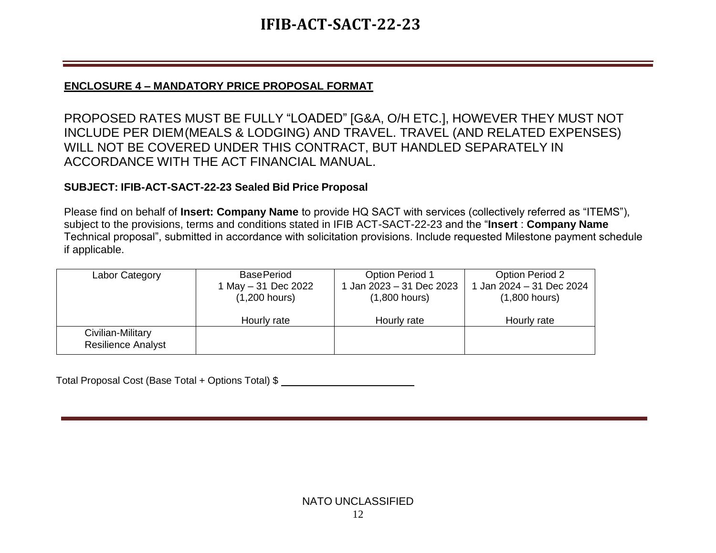# **IFIB-ACT-SACT-22-23**

## **ENCLOSURE 4 – MANDATORY PRICE PROPOSAL FORMAT**

PROPOSED RATES MUST BE FULLY "LOADED" [G&A, O/H ETC.], HOWEVER THEY MUST NOT INCLUDE PER DIEM(MEALS & LODGING) AND TRAVEL. TRAVEL (AND RELATED EXPENSES) WILL NOT BE COVERED UNDER THIS CONTRACT, BUT HANDLED SEPARATELY IN ACCORDANCE WITH THE ACT FINANCIAL MANUAL.

## **SUBJECT: IFIB-ACT-SACT-22-23 Sealed Bid Price Proposal**

Please find on behalf of **Insert: Company Name** to provide HQ SACT with services (collectively referred as "ITEMS"), subject to the provisions, terms and conditions stated in IFIB ACT-SACT-22-23 and the "**Insert** : **Company Name** Technical proposal", submitted in accordance with solicitation provisions. Include requested Milestone payment schedule if applicable.

| Labor Category            | <b>BasePeriod</b>   | <b>Option Period 1</b> | <b>Option Period 2</b> |
|---------------------------|---------------------|------------------------|------------------------|
|                           | 1 May - 31 Dec 2022 | Jan 2023 – 31 Dec 2023 | Jan 2024 - 31 Dec 2024 |
|                           | $(1,200$ hours)     | $(1,800$ hours)        | $(1,800$ hours)        |
|                           |                     |                        |                        |
|                           | Hourly rate         | Hourly rate            | Hourly rate            |
| Civilian-Military         |                     |                        |                        |
| <b>Resilience Analyst</b> |                     |                        |                        |

Total Proposal Cost (Base Total + Options Total) \$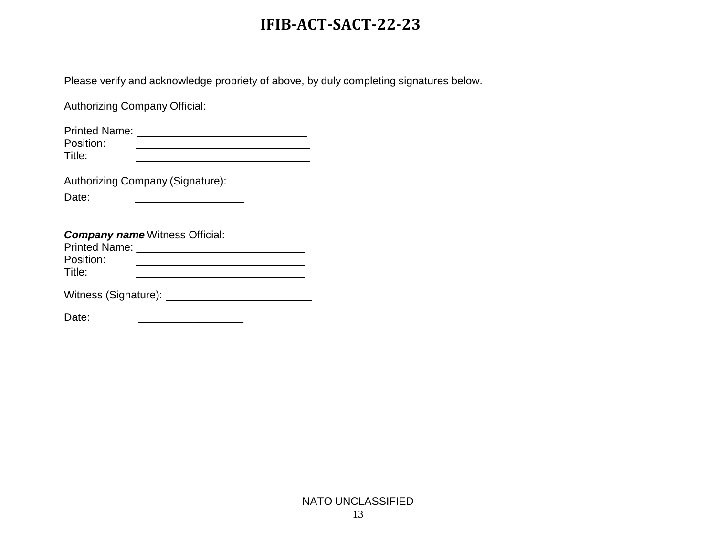# **IFIB-ACT-SACT-22-23**

Please verify and acknowledge propriety of above, by duly completing signatures below.

Authorizing Company Official:

| <b>Printed Name:</b> |  |
|----------------------|--|
| Position:            |  |
| Title:               |  |
|                      |  |

<u>and the community of the community of the community of the community of the community of the community of the community of the community of the community of the community of the community of the community of the community</u>

Authorizing Company (Signature): 1988

Date:

| <b>Company name Witness Official:</b> |
|---------------------------------------|
|---------------------------------------|

| <b>Printed Name:</b> |  |  |
|----------------------|--|--|
| Position:            |  |  |
| Title:               |  |  |
|                      |  |  |

Witness (Signature):

Date: \_\_\_\_\_\_\_\_\_\_\_\_\_\_\_\_\_\_\_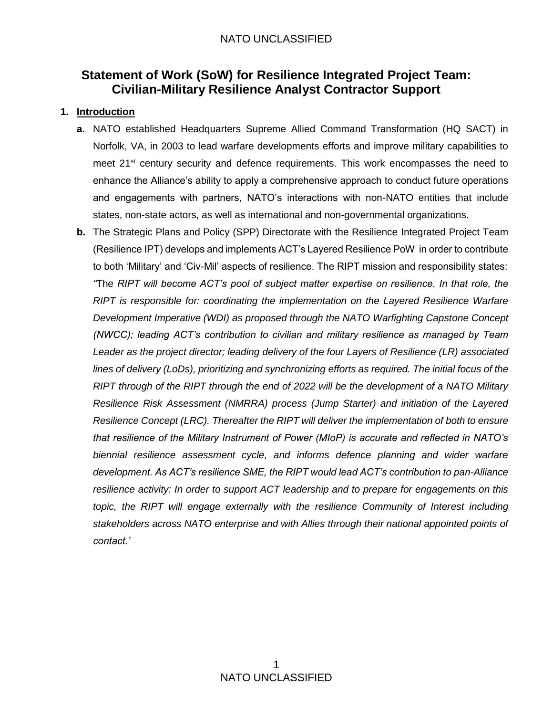# **Statement of Work (SoW) for Resilience Integrated Project Team: Civilian-Military Resilience Analyst Contractor Support**

#### **1. Introduction**

- **a.** NATO established Headquarters Supreme Allied Command Transformation (HQ SACT) in Norfolk, VA, in 2003 to lead warfare developments efforts and improve military capabilities to meet 21<sup>st</sup> century security and defence requirements. This work encompasses the need to enhance the Alliance's ability to apply a comprehensive approach to conduct future operations and engagements with partners, NATO's interactions with non-NATO entities that include states, non-state actors, as well as international and non-governmental organizations.
- **b.** The Strategic Plans and Policy (SPP) Directorate with the Resilience Integrated Project Team (Resilience IPT) develops and implements ACT's Layered Resilience PoW in order to contribute to both 'Military' and 'Civ-Mil' aspects of resilience. The RIPT mission and responsibility states: *"*The *RIPT will become ACT's pool of subject matter expertise on resilience. In that role, the RIPT is responsible for: coordinating the implementation on the Layered Resilience Warfare Development Imperative (WDI) as proposed through the NATO Warfighting Capstone Concept (NWCC); leading ACT's contribution to civilian and military resilience as managed by Team Leader as the project director; leading delivery of the four Layers of Resilience (LR) associated lines of delivery (LoDs), prioritizing and synchronizing efforts as required. The initial focus of the RIPT through of the RIPT through the end of 2022 will be the development of a NATO Military Resilience Risk Assessment (NMRRA) process (Jump Starter) and initiation of the Layered Resilience Concept (LRC). Thereafter the RIPT will deliver the implementation of both to ensure that resilience of the Military Instrument of Power (MIoP) is accurate and reflected in NATO's biennial resilience assessment cycle, and informs defence planning and wider warfare development. As ACT's resilience SME, the RIPT would lead ACT's contribution to pan-Alliance resilience activity: In order to support ACT leadership and to prepare for engagements on this topic, the RIPT will engage externally with the resilience Community of Interest including stakeholders across NATO enterprise and with Allies through their national appointed points of contact.'*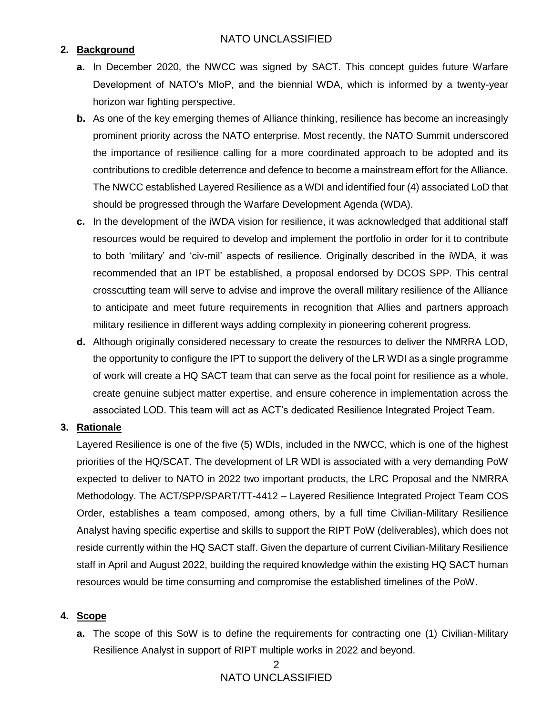#### **2. Background**

- **a.** In December 2020, the NWCC was signed by SACT. This concept guides future Warfare Development of NATO's MIoP, and the biennial WDA, which is informed by a twenty-year horizon war fighting perspective.
- **b.** As one of the key emerging themes of Alliance thinking, resilience has become an increasingly prominent priority across the NATO enterprise. Most recently, the NATO Summit underscored the importance of resilience calling for a more coordinated approach to be adopted and its contributions to credible deterrence and defence to become a mainstream effort for the Alliance. The NWCC established Layered Resilience as a WDI and identified four (4) associated LoD that should be progressed through the Warfare Development Agenda (WDA).
- **c.** In the development of the iWDA vision for resilience, it was acknowledged that additional staff resources would be required to develop and implement the portfolio in order for it to contribute to both 'military' and 'civ-mil' aspects of resilience. Originally described in the iWDA, it was recommended that an IPT be established, a proposal endorsed by DCOS SPP. This central crosscutting team will serve to advise and improve the overall military resilience of the Alliance to anticipate and meet future requirements in recognition that Allies and partners approach military resilience in different ways adding complexity in pioneering coherent progress.
- **d.** Although originally considered necessary to create the resources to deliver the NMRRA LOD, the opportunity to configure the IPT to support the delivery of the LR WDI as a single programme of work will create a HQ SACT team that can serve as the focal point for resilience as a whole, create genuine subject matter expertise, and ensure coherence in implementation across the associated LOD. This team will act as ACT's dedicated Resilience Integrated Project Team.

#### **3. Rationale**

Layered Resilience is one of the five (5) WDIs, included in the NWCC, which is one of the highest priorities of the HQ/SCAT. The development of LR WDI is associated with a very demanding PoW expected to deliver to NATO in 2022 two important products, the LRC Proposal and the NMRRA Methodology. The ACT/SPP/SPART/TT-4412 – Layered Resilience Integrated Project Team COS Order, establishes a team composed, among others, by a full time Civilian-Military Resilience Analyst having specific expertise and skills to support the RIPT PoW (deliverables), which does not reside currently within the HQ SACT staff. Given the departure of current Civilian-Military Resilience staff in April and August 2022, building the required knowledge within the existing HQ SACT human resources would be time consuming and compromise the established timelines of the PoW.

#### **4. Scope**

**a.** The scope of this SoW is to define the requirements for contracting one (1) Civilian-Military Resilience Analyst in support of RIPT multiple works in 2022 and beyond.

## 2 NATO UNCLASSIFIED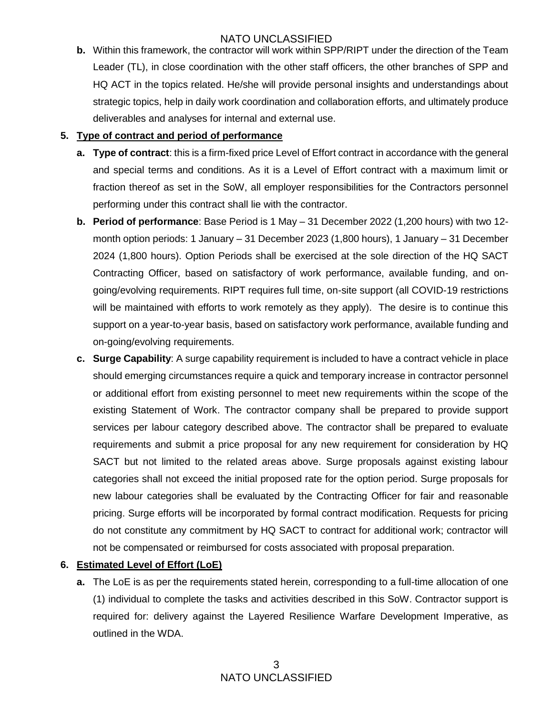**b.** Within this framework, the contractor will work within SPP/RIPT under the direction of the Team Leader (TL), in close coordination with the other staff officers, the other branches of SPP and HQ ACT in the topics related. He/she will provide personal insights and understandings about strategic topics, help in daily work coordination and collaboration efforts, and ultimately produce deliverables and analyses for internal and external use.

#### **5. Type of contract and period of performance**

- **a. Type of contract**: this is a firm-fixed price Level of Effort contract in accordance with the general and special terms and conditions. As it is a Level of Effort contract with a maximum limit or fraction thereof as set in the SoW, all employer responsibilities for the Contractors personnel performing under this contract shall lie with the contractor.
- **b. Period of performance**: Base Period is 1 May 31 December 2022 (1,200 hours) with two 12 month option periods: 1 January – 31 December 2023 (1,800 hours), 1 January – 31 December 2024 (1,800 hours). Option Periods shall be exercised at the sole direction of the HQ SACT Contracting Officer, based on satisfactory of work performance, available funding, and ongoing/evolving requirements. RIPT requires full time, on-site support (all COVID-19 restrictions will be maintained with efforts to work remotely as they apply). The desire is to continue this support on a year-to-year basis, based on satisfactory work performance, available funding and on-going/evolving requirements.
- **c. Surge Capability**: A surge capability requirement is included to have a contract vehicle in place should emerging circumstances require a quick and temporary increase in contractor personnel or additional effort from existing personnel to meet new requirements within the scope of the existing Statement of Work. The contractor company shall be prepared to provide support services per labour category described above. The contractor shall be prepared to evaluate requirements and submit a price proposal for any new requirement for consideration by HQ SACT but not limited to the related areas above. Surge proposals against existing labour categories shall not exceed the initial proposed rate for the option period. Surge proposals for new labour categories shall be evaluated by the Contracting Officer for fair and reasonable pricing. Surge efforts will be incorporated by formal contract modification. Requests for pricing do not constitute any commitment by HQ SACT to contract for additional work; contractor will not be compensated or reimbursed for costs associated with proposal preparation.

#### **6. Estimated Level of Effort (LoE)**

**a.** The LoE is as per the requirements stated herein, corresponding to a full-time allocation of one (1) individual to complete the tasks and activities described in this SoW. Contractor support is required for: delivery against the Layered Resilience Warfare Development Imperative, as outlined in the WDA.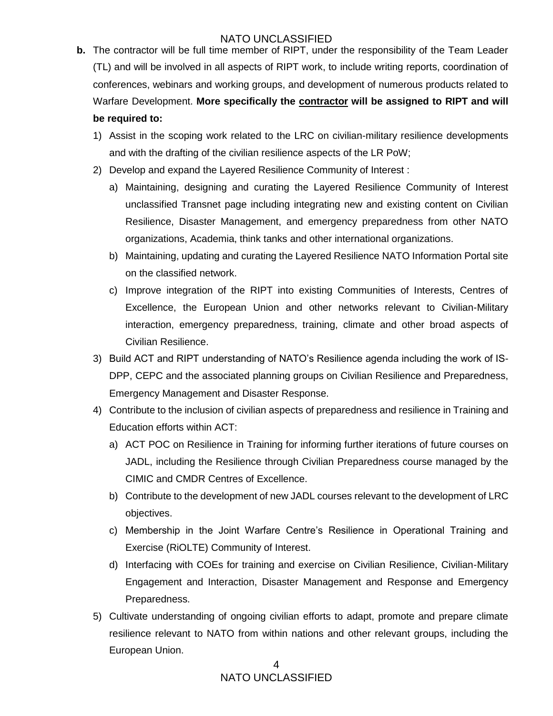- **b.** The contractor will be full time member of RIPT, under the responsibility of the Team Leader (TL) and will be involved in all aspects of RIPT work, to include writing reports, coordination of conferences, webinars and working groups, and development of numerous products related to Warfare Development. **More specifically the contractor will be assigned to RIPT and will be required to:** 
	- 1) Assist in the scoping work related to the LRC on civilian-military resilience developments and with the drafting of the civilian resilience aspects of the LR PoW;
	- 2) Develop and expand the Layered Resilience Community of Interest :
		- a) Maintaining, designing and curating the Layered Resilience Community of Interest unclassified Transnet page including integrating new and existing content on Civilian Resilience, Disaster Management, and emergency preparedness from other NATO organizations, Academia, think tanks and other international organizations.
		- b) Maintaining, updating and curating the Layered Resilience NATO Information Portal site on the classified network.
		- c) Improve integration of the RIPT into existing Communities of Interests, Centres of Excellence, the European Union and other networks relevant to Civilian-Military interaction, emergency preparedness, training, climate and other broad aspects of Civilian Resilience.
	- 3) Build ACT and RIPT understanding of NATO's Resilience agenda including the work of IS-DPP, CEPC and the associated planning groups on Civilian Resilience and Preparedness, Emergency Management and Disaster Response.
	- 4) Contribute to the inclusion of civilian aspects of preparedness and resilience in Training and Education efforts within ACT:
		- a) ACT POC on Resilience in Training for informing further iterations of future courses on JADL, including the Resilience through Civilian Preparedness course managed by the CIMIC and CMDR Centres of Excellence.
		- b) Contribute to the development of new JADL courses relevant to the development of LRC objectives.
		- c) Membership in the Joint Warfare Centre's Resilience in Operational Training and Exercise (RiOLTE) Community of Interest.
		- d) Interfacing with COEs for training and exercise on Civilian Resilience, Civilian-Military Engagement and Interaction, Disaster Management and Response and Emergency Preparedness.
	- 5) Cultivate understanding of ongoing civilian efforts to adapt, promote and prepare climate resilience relevant to NATO from within nations and other relevant groups, including the European Union.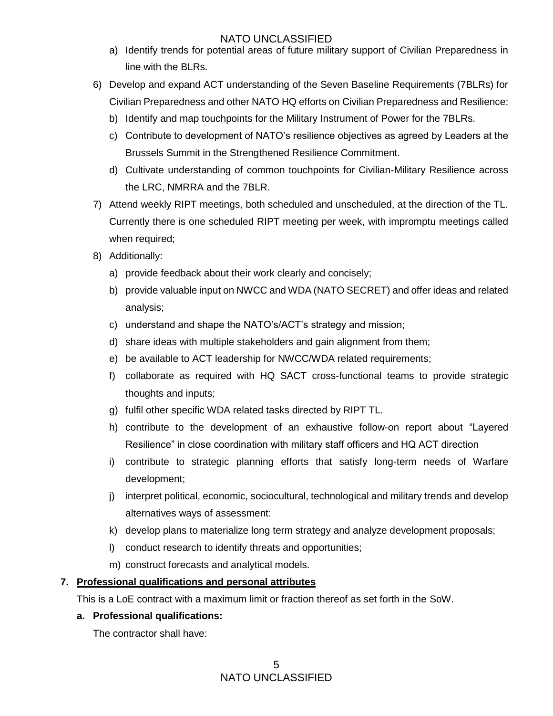- a) Identify trends for potential areas of future military support of Civilian Preparedness in line with the BLRs.
- 6) Develop and expand ACT understanding of the Seven Baseline Requirements (7BLRs) for Civilian Preparedness and other NATO HQ efforts on Civilian Preparedness and Resilience:
	- b) Identify and map touchpoints for the Military Instrument of Power for the 7BLRs.
	- c) Contribute to development of NATO's resilience objectives as agreed by Leaders at the Brussels Summit in the Strengthened Resilience Commitment.
	- d) Cultivate understanding of common touchpoints for Civilian-Military Resilience across the LRC, NMRRA and the 7BLR.
- 7) Attend weekly RIPT meetings, both scheduled and unscheduled, at the direction of the TL. Currently there is one scheduled RIPT meeting per week, with impromptu meetings called when required;
- 8) Additionally:
	- a) provide feedback about their work clearly and concisely;
	- b) provide valuable input on NWCC and WDA (NATO SECRET) and offer ideas and related analysis;
	- c) understand and shape the NATO's/ACT's strategy and mission;
	- d) share ideas with multiple stakeholders and gain alignment from them;
	- e) be available to ACT leadership for NWCC/WDA related requirements;
	- f) collaborate as required with HQ SACT cross-functional teams to provide strategic thoughts and inputs;
	- g) fulfil other specific WDA related tasks directed by RIPT TL.
	- h) contribute to the development of an exhaustive follow-on report about "Layered Resilience" in close coordination with military staff officers and HQ ACT direction
	- i) contribute to strategic planning efforts that satisfy long-term needs of Warfare development;
	- j) interpret political, economic, sociocultural, technological and military trends and develop alternatives ways of assessment:
	- k) develop plans to materialize long term strategy and analyze development proposals;
	- l) conduct research to identify threats and opportunities;
	- m) construct forecasts and analytical models.

#### **7. Professional qualifications and personal attributes**

This is a LoE contract with a maximum limit or fraction thereof as set forth in the SoW.

#### **a. Professional qualifications:**

The contractor shall have: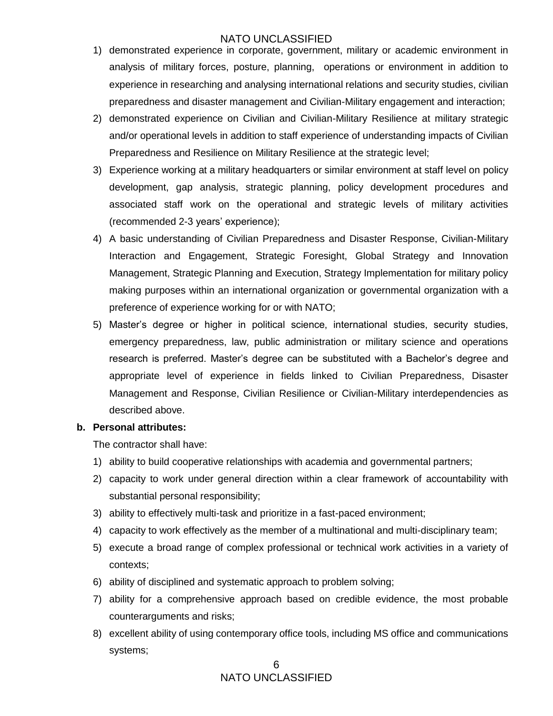- 1) demonstrated experience in corporate, government, military or academic environment in analysis of military forces, posture, planning, operations or environment in addition to experience in researching and analysing international relations and security studies, civilian preparedness and disaster management and Civilian-Military engagement and interaction;
- 2) demonstrated experience on Civilian and Civilian-Military Resilience at military strategic and/or operational levels in addition to staff experience of understanding impacts of Civilian Preparedness and Resilience on Military Resilience at the strategic level;
- 3) Experience working at a military headquarters or similar environment at staff level on policy development, gap analysis, strategic planning, policy development procedures and associated staff work on the operational and strategic levels of military activities (recommended 2-3 years' experience);
- 4) A basic understanding of Civilian Preparedness and Disaster Response, Civilian-Military Interaction and Engagement, Strategic Foresight, Global Strategy and Innovation Management, Strategic Planning and Execution, Strategy Implementation for military policy making purposes within an international organization or governmental organization with a preference of experience working for or with NATO;
- 5) Master's degree or higher in political science, international studies, security studies, emergency preparedness, law, public administration or military science and operations research is preferred. Master's degree can be substituted with a Bachelor's degree and appropriate level of experience in fields linked to Civilian Preparedness, Disaster Management and Response, Civilian Resilience or Civilian-Military interdependencies as described above.

#### **b. Personal attributes:**

The contractor shall have:

- 1) ability to build cooperative relationships with academia and governmental partners;
- 2) capacity to work under general direction within a clear framework of accountability with substantial personal responsibility;
- 3) ability to effectively multi-task and prioritize in a fast-paced environment;
- 4) capacity to work effectively as the member of a multinational and multi-disciplinary team;
- 5) execute a broad range of complex professional or technical work activities in a variety of contexts;
- 6) ability of disciplined and systematic approach to problem solving;
- 7) ability for a comprehensive approach based on credible evidence, the most probable counterarguments and risks;
- 8) excellent ability of using contemporary office tools, including MS office and communications systems;

#### 6 NATO UNCLASSIFIED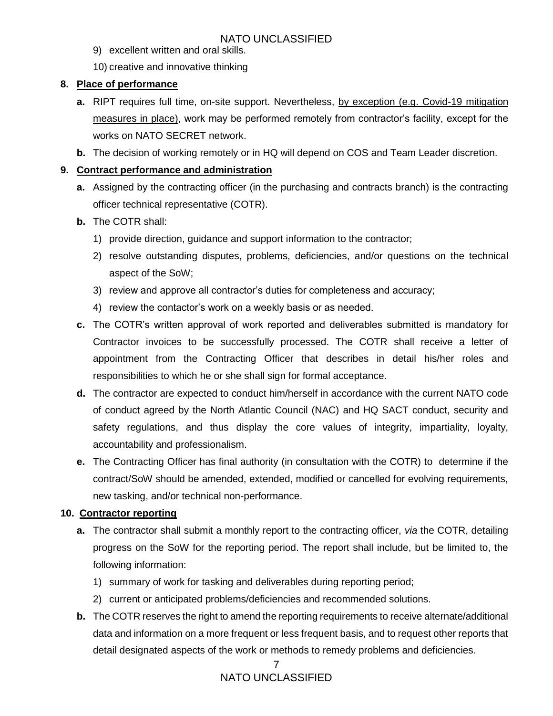- 9) excellent written and oral skills.
- 10) creative and innovative thinking

#### **8. Place of performance**

- **a.** RIPT requires full time, on-site support. Nevertheless, by exception (e.g. Covid-19 mitigation measures in place), work may be performed remotely from contractor's facility, except for the works on NATO SECRET network.
- **b.** The decision of working remotely or in HQ will depend on COS and Team Leader discretion.

#### **9. Contract performance and administration**

- **a.** Assigned by the contracting officer (in the purchasing and contracts branch) is the contracting officer technical representative (COTR).
- **b.** The COTR shall:
	- 1) provide direction, guidance and support information to the contractor;
	- 2) resolve outstanding disputes, problems, deficiencies, and/or questions on the technical aspect of the SoW;
	- 3) review and approve all contractor's duties for completeness and accuracy;
	- 4) review the contactor's work on a weekly basis or as needed.
- **c.** The COTR's written approval of work reported and deliverables submitted is mandatory for Contractor invoices to be successfully processed. The COTR shall receive a letter of appointment from the Contracting Officer that describes in detail his/her roles and responsibilities to which he or she shall sign for formal acceptance.
- **d.** The contractor are expected to conduct him/herself in accordance with the current NATO code of conduct agreed by the North Atlantic Council (NAC) and HQ SACT conduct, security and safety regulations, and thus display the core values of integrity, impartiality, loyalty, accountability and professionalism.
- **e.** The Contracting Officer has final authority (in consultation with the COTR) to determine if the contract/SoW should be amended, extended, modified or cancelled for evolving requirements, new tasking, and/or technical non-performance.

#### **10. Contractor reporting**

- **a.** The contractor shall submit a monthly report to the contracting officer, *via* the COTR, detailing progress on the SoW for the reporting period. The report shall include, but be limited to, the following information:
	- 1) summary of work for tasking and deliverables during reporting period;
	- 2) current or anticipated problems/deficiencies and recommended solutions.
- **b.** The COTR reserves the right to amend the reporting requirements to receive alternate/additional data and information on a more frequent or less frequent basis, and to request other reports that detail designated aspects of the work or methods to remedy problems and deficiencies.

#### 7 NATO UNCLASSIFIED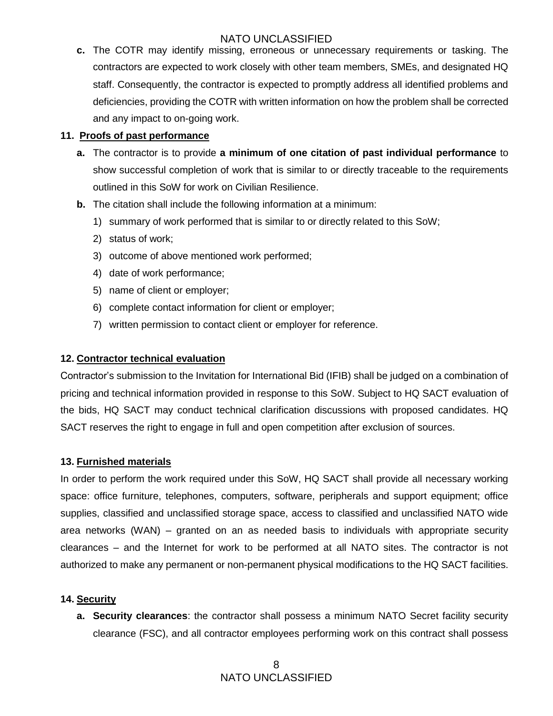**c.** The COTR may identify missing, erroneous or unnecessary requirements or tasking. The contractors are expected to work closely with other team members, SMEs, and designated HQ staff. Consequently, the contractor is expected to promptly address all identified problems and deficiencies, providing the COTR with written information on how the problem shall be corrected and any impact to on-going work.

#### **11. Proofs of past performance**

- **a.** The contractor is to provide **a minimum of one citation of past individual performance** to show successful completion of work that is similar to or directly traceable to the requirements outlined in this SoW for work on Civilian Resilience.
- **b.** The citation shall include the following information at a minimum:
	- 1) summary of work performed that is similar to or directly related to this SoW;
	- 2) status of work;
	- 3) outcome of above mentioned work performed;
	- 4) date of work performance;
	- 5) name of client or employer;
	- 6) complete contact information for client or employer;
	- 7) written permission to contact client or employer for reference.

#### **12. Contractor technical evaluation**

Contractor's submission to the Invitation for International Bid (IFIB) shall be judged on a combination of pricing and technical information provided in response to this SoW. Subject to HQ SACT evaluation of the bids, HQ SACT may conduct technical clarification discussions with proposed candidates. HQ SACT reserves the right to engage in full and open competition after exclusion of sources.

#### **13. Furnished materials**

In order to perform the work required under this SoW, HQ SACT shall provide all necessary working space: office furniture, telephones, computers, software, peripherals and support equipment; office supplies, classified and unclassified storage space, access to classified and unclassified NATO wide area networks (WAN) – granted on an as needed basis to individuals with appropriate security clearances – and the Internet for work to be performed at all NATO sites. The contractor is not authorized to make any permanent or non-permanent physical modifications to the HQ SACT facilities.

#### **14. Security**

**a. Security clearances**: the contractor shall possess a minimum NATO Secret facility security clearance (FSC), and all contractor employees performing work on this contract shall possess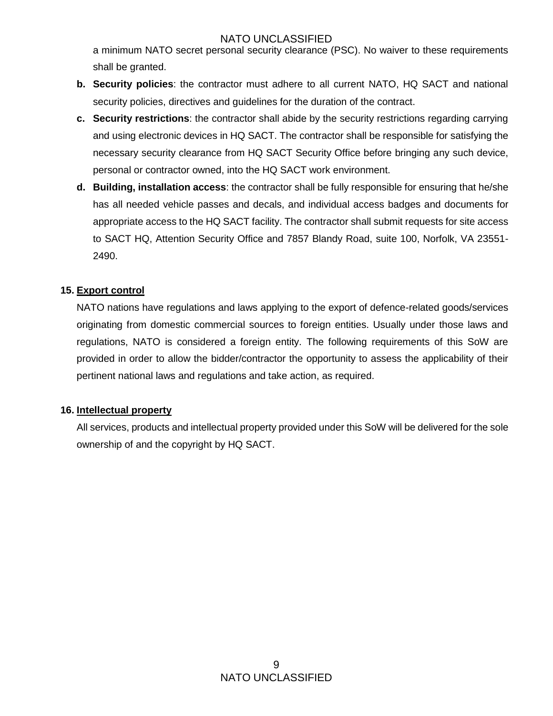a minimum NATO secret personal security clearance (PSC). No waiver to these requirements shall be granted.

- **b. Security policies**: the contractor must adhere to all current NATO, HQ SACT and national security policies, directives and guidelines for the duration of the contract.
- **c. Security restrictions**: the contractor shall abide by the security restrictions regarding carrying and using electronic devices in HQ SACT. The contractor shall be responsible for satisfying the necessary security clearance from HQ SACT Security Office before bringing any such device, personal or contractor owned, into the HQ SACT work environment.
- **d. Building, installation access**: the contractor shall be fully responsible for ensuring that he/she has all needed vehicle passes and decals, and individual access badges and documents for appropriate access to the HQ SACT facility. The contractor shall submit requests for site access to SACT HQ, Attention Security Office and 7857 Blandy Road, suite 100, Norfolk, VA 23551- 2490.

#### **15. Export control**

NATO nations have regulations and laws applying to the export of defence-related goods/services originating from domestic commercial sources to foreign entities. Usually under those laws and regulations, NATO is considered a foreign entity. The following requirements of this SoW are provided in order to allow the bidder/contractor the opportunity to assess the applicability of their pertinent national laws and regulations and take action, as required.

#### **16. Intellectual property**

All services, products and intellectual property provided under this SoW will be delivered for the sole ownership of and the copyright by HQ SACT.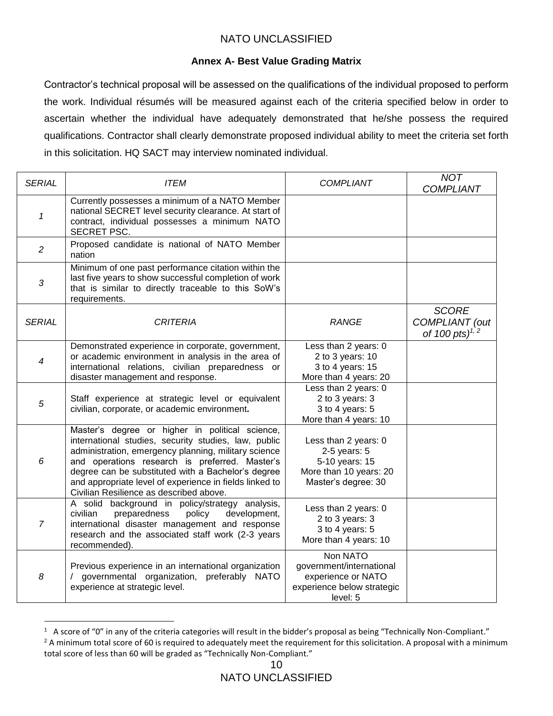#### **Annex A- Best Value Grading Matrix**

Contractor's technical proposal will be assessed on the qualifications of the individual proposed to perform the work. Individual résumés will be measured against each of the criteria specified below in order to ascertain whether the individual have adequately demonstrated that he/she possess the required qualifications. Contractor shall clearly demonstrate proposed individual ability to meet the criteria set forth in this solicitation. HQ SACT may interview nominated individual.

| <b>SERIAL</b>  | <b>ITEM</b>                                                                                                                                                                                                                                                                                                                                                                   | <b>COMPLIANT</b>                                                                                            | <b>NOT</b><br><b>COMPLIANT</b>                      |
|----------------|-------------------------------------------------------------------------------------------------------------------------------------------------------------------------------------------------------------------------------------------------------------------------------------------------------------------------------------------------------------------------------|-------------------------------------------------------------------------------------------------------------|-----------------------------------------------------|
| $\mathbf{1}$   | Currently possesses a minimum of a NATO Member<br>national SECRET level security clearance. At start of<br>contract, individual possesses a minimum NATO<br><b>SECRET PSC.</b>                                                                                                                                                                                                |                                                                                                             |                                                     |
| $\overline{c}$ | Proposed candidate is national of NATO Member<br>nation                                                                                                                                                                                                                                                                                                                       |                                                                                                             |                                                     |
| 3              | Minimum of one past performance citation within the<br>last five years to show successful completion of work<br>that is similar to directly traceable to this SoW's<br>requirements.                                                                                                                                                                                          |                                                                                                             |                                                     |
| <b>SERIAL</b>  | <b>CRITERIA</b>                                                                                                                                                                                                                                                                                                                                                               | <b>RANGE</b>                                                                                                | <b>SCORE</b><br>COMPLIANT (out<br>of 100 pts) $1/2$ |
| 4              | Demonstrated experience in corporate, government,<br>or academic environment in analysis in the area of<br>international relations, civilian preparedness or<br>disaster management and response.                                                                                                                                                                             | Less than 2 years: 0<br>2 to 3 years: $10$<br>3 to 4 years: 15<br>More than 4 years: 20                     |                                                     |
| 5              | Staff experience at strategic level or equivalent<br>civilian, corporate, or academic environment.                                                                                                                                                                                                                                                                            | Less than 2 years: 0<br>2 to 3 years: 3<br>3 to 4 years: 5<br>More than 4 years: 10                         |                                                     |
| 6              | Master's degree or higher in political science,<br>international studies, security studies, law, public<br>administration, emergency planning, military science<br>and operations research is preferred. Master's<br>degree can be substituted with a Bachelor's degree<br>and appropriate level of experience in fields linked to<br>Civilian Resilience as described above. | Less than 2 years: 0<br>$2-5$ years: $5$<br>5-10 years: 15<br>More than 10 years: 20<br>Master's degree: 30 |                                                     |
| $\overline{7}$ | A solid background in policy/strategy analysis,<br>civilian<br>preparedness<br>policy<br>development,<br>international disaster management and response<br>research and the associated staff work (2-3 years<br>recommended).                                                                                                                                                 | Less than 2 years: 0<br>2 to 3 years: 3<br>3 to 4 years: 5<br>More than 4 years: 10                         |                                                     |
| 8              | Previous experience in an international organization<br>/ governmental organization,<br>preferably NATO<br>experience at strategic level.                                                                                                                                                                                                                                     | Non NATO<br>government/international<br>experience or NATO<br>experience below strategic<br>level: 5        |                                                     |

 $1$  A score of "0" in any of the criteria categories will result in the bidder's proposal as being "Technically Non-Compliant." <sup>2</sup> A minimum total score of 60 is required to adequately meet the requirement for this solicitation. A proposal with a minimum total score of less than 60 will be graded as "Technically Non-Compliant."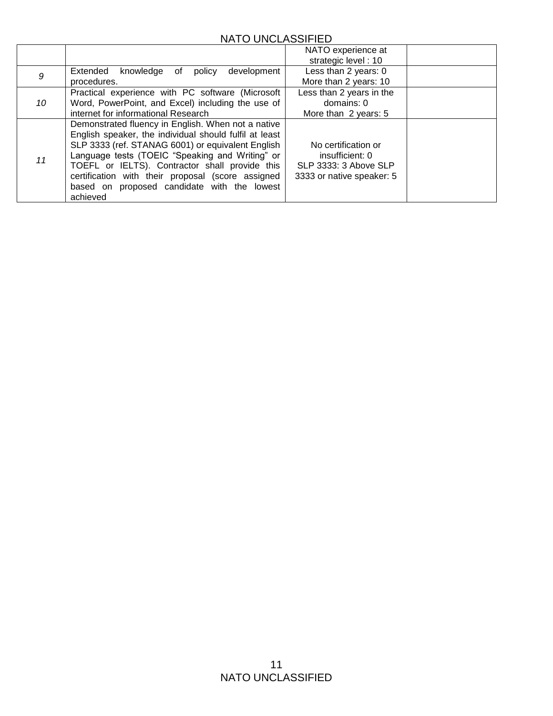|    |                                                                                                                                                                                                                                                                                                                                                                                        | NATO experience at<br>strategic level: 10                                                    |  |
|----|----------------------------------------------------------------------------------------------------------------------------------------------------------------------------------------------------------------------------------------------------------------------------------------------------------------------------------------------------------------------------------------|----------------------------------------------------------------------------------------------|--|
| 9  | knowledge<br>development<br>Extended<br>of<br>policy<br>procedures.                                                                                                                                                                                                                                                                                                                    | Less than 2 years: 0<br>More than 2 years: 10                                                |  |
| 10 | Practical experience with PC software (Microsoft<br>Word, PowerPoint, and Excel) including the use of<br>internet for informational Research                                                                                                                                                                                                                                           | Less than 2 years in the<br>domains: 0<br>More than 2 years: 5                               |  |
| 11 | Demonstrated fluency in English. When not a native<br>English speaker, the individual should fulfil at least<br>SLP 3333 (ref. STANAG 6001) or equivalent English<br>Language tests (TOEIC "Speaking and Writing" or<br>TOEFL or IELTS). Contractor shall provide this<br>certification with their proposal (score assigned<br>based on proposed candidate with the lowest<br>achieved | No certification or<br>insufficient: 0<br>SLP 3333: 3 Above SLP<br>3333 or native speaker: 5 |  |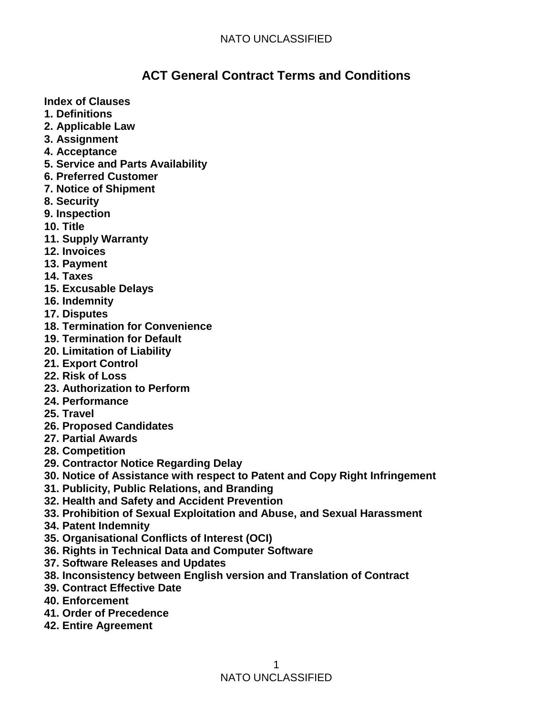# **ACT General Contract Terms and Conditions**

**Index of Clauses** 

- **1. Definitions**
- **2. Applicable Law**
- **3. Assignment**
- **4. Acceptance**
- **5. Service and Parts Availability**
- **6. Preferred Customer**
- **7. Notice of Shipment**
- **8. Security**
- **9. Inspection**
- **10. Title**
- **11. Supply Warranty**
- **12. Invoices**
- **13. Payment**
- **14. Taxes**
- **15. Excusable Delays**
- **16. Indemnity**
- **17. Disputes**
- **18. Termination for Convenience**
- **19. Termination for Default**
- **20. Limitation of Liability**
- **21. Export Control**
- **22. Risk of Loss**
- **23. Authorization to Perform**
- **24. Performance**
- **25. Travel**
- **26. Proposed Candidates**
- **27. Partial Awards**
- **28. Competition**
- **29. Contractor Notice Regarding Delay**
- **30. Notice of Assistance with respect to Patent and Copy Right Infringement**
- **31. Publicity, Public Relations, and Branding**
- **32. Health and Safety and Accident Prevention**
- **33. Prohibition of Sexual Exploitation and Abuse, and Sexual Harassment**
- **34. Patent Indemnity**
- **35. Organisational Conflicts of Interest (OCI)**
- **36. Rights in Technical Data and Computer Software**
- **37. Software Releases and Updates**
- **38. Inconsistency between English version and Translation of Contract**
- **39. Contract Effective Date**
- **40. Enforcement**
- **41. Order of Precedence**
- **42. Entire Agreement**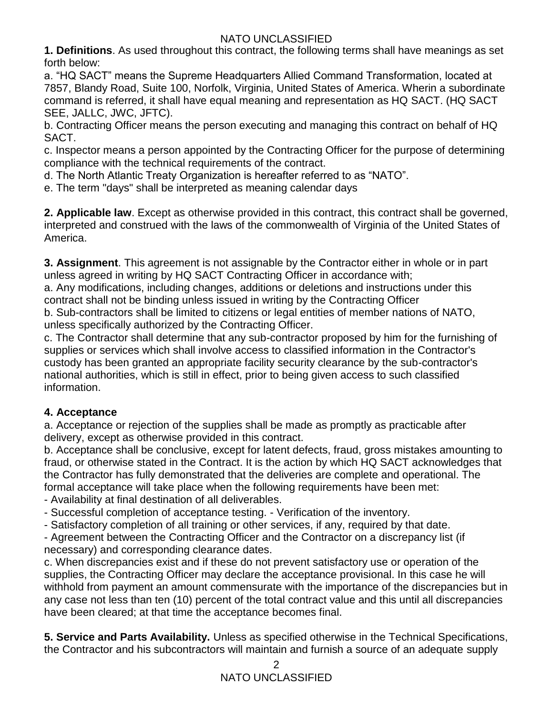**1. Definitions**. As used throughout this contract, the following terms shall have meanings as set forth below:

a. "HQ SACT" means the Supreme Headquarters Allied Command Transformation, located at 7857, Blandy Road, Suite 100, Norfolk, Virginia, United States of America. Wherin a subordinate command is referred, it shall have equal meaning and representation as HQ SACT. (HQ SACT SEE, JALLC, JWC, JFTC).

b. Contracting Officer means the person executing and managing this contract on behalf of HQ SACT.

c. Inspector means a person appointed by the Contracting Officer for the purpose of determining compliance with the technical requirements of the contract.

d. The North Atlantic Treaty Organization is hereafter referred to as "NATO".

e. The term "days" shall be interpreted as meaning calendar days

**2. Applicable law**. Except as otherwise provided in this contract, this contract shall be governed, interpreted and construed with the laws of the commonwealth of Virginia of the United States of America.

**3. Assignment**. This agreement is not assignable by the Contractor either in whole or in part unless agreed in writing by HQ SACT Contracting Officer in accordance with;

a. Any modifications, including changes, additions or deletions and instructions under this contract shall not be binding unless issued in writing by the Contracting Officer

b. Sub-contractors shall be limited to citizens or legal entities of member nations of NATO, unless specifically authorized by the Contracting Officer.

c. The Contractor shall determine that any sub-contractor proposed by him for the furnishing of supplies or services which shall involve access to classified information in the Contractor's custody has been granted an appropriate facility security clearance by the sub-contractor's national authorities, which is still in effect, prior to being given access to such classified information.

## **4. Acceptance**

a. Acceptance or rejection of the supplies shall be made as promptly as practicable after delivery, except as otherwise provided in this contract.

b. Acceptance shall be conclusive, except for latent defects, fraud, gross mistakes amounting to fraud, or otherwise stated in the Contract. It is the action by which HQ SACT acknowledges that the Contractor has fully demonstrated that the deliveries are complete and operational. The formal acceptance will take place when the following requirements have been met:

- Availability at final destination of all deliverables.

- Successful completion of acceptance testing. - Verification of the inventory.

- Satisfactory completion of all training or other services, if any, required by that date.

- Agreement between the Contracting Officer and the Contractor on a discrepancy list (if necessary) and corresponding clearance dates.

c. When discrepancies exist and if these do not prevent satisfactory use or operation of the supplies, the Contracting Officer may declare the acceptance provisional. In this case he will withhold from payment an amount commensurate with the importance of the discrepancies but in any case not less than ten (10) percent of the total contract value and this until all discrepancies have been cleared; at that time the acceptance becomes final.

**5. Service and Parts Availability.** Unless as specified otherwise in the Technical Specifications, the Contractor and his subcontractors will maintain and furnish a source of an adequate supply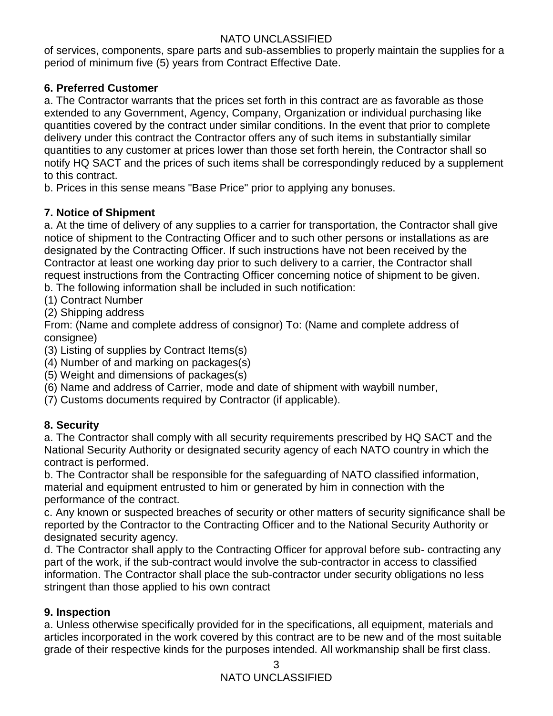of services, components, spare parts and sub-assemblies to properly maintain the supplies for a period of minimum five (5) years from Contract Effective Date.

## **6. Preferred Customer**

a. The Contractor warrants that the prices set forth in this contract are as favorable as those extended to any Government, Agency, Company, Organization or individual purchasing like quantities covered by the contract under similar conditions. In the event that prior to complete delivery under this contract the Contractor offers any of such items in substantially similar quantities to any customer at prices lower than those set forth herein, the Contractor shall so notify HQ SACT and the prices of such items shall be correspondingly reduced by a supplement to this contract.

b. Prices in this sense means "Base Price" prior to applying any bonuses.

## **7. Notice of Shipment**

a. At the time of delivery of any supplies to a carrier for transportation, the Contractor shall give notice of shipment to the Contracting Officer and to such other persons or installations as are designated by the Contracting Officer. If such instructions have not been received by the Contractor at least one working day prior to such delivery to a carrier, the Contractor shall request instructions from the Contracting Officer concerning notice of shipment to be given.

b. The following information shall be included in such notification:

- (1) Contract Number
- (2) Shipping address

From: (Name and complete address of consignor) To: (Name and complete address of consignee)

(3) Listing of supplies by Contract Items(s)

- (4) Number of and marking on packages(s)
- (5) Weight and dimensions of packages(s)
- (6) Name and address of Carrier, mode and date of shipment with waybill number,
- (7) Customs documents required by Contractor (if applicable).

## **8. Security**

a. The Contractor shall comply with all security requirements prescribed by HQ SACT and the National Security Authority or designated security agency of each NATO country in which the contract is performed.

b. The Contractor shall be responsible for the safeguarding of NATO classified information, material and equipment entrusted to him or generated by him in connection with the performance of the contract.

c. Any known or suspected breaches of security or other matters of security significance shall be reported by the Contractor to the Contracting Officer and to the National Security Authority or designated security agency.

d. The Contractor shall apply to the Contracting Officer for approval before sub- contracting any part of the work, if the sub-contract would involve the sub-contractor in access to classified information. The Contractor shall place the sub-contractor under security obligations no less stringent than those applied to his own contract

## **9. Inspection**

a. Unless otherwise specifically provided for in the specifications, all equipment, materials and articles incorporated in the work covered by this contract are to be new and of the most suitable grade of their respective kinds for the purposes intended. All workmanship shall be first class.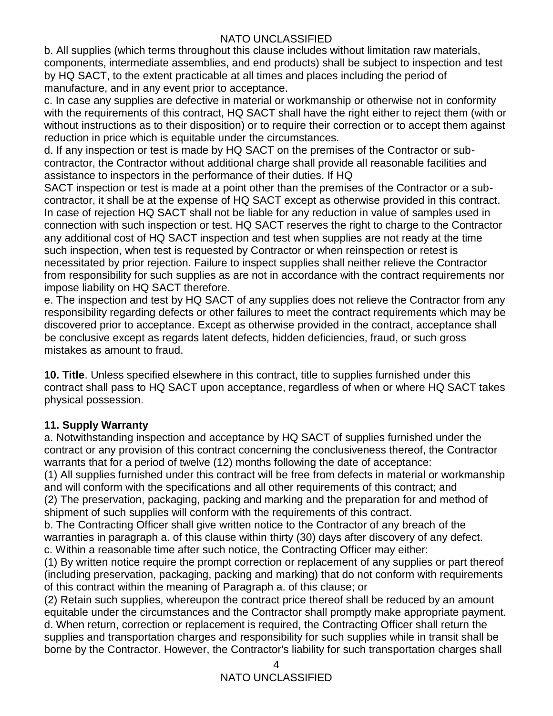b. All supplies (which terms throughout this clause includes without limitation raw materials, components, intermediate assemblies, and end products) shall be subject to inspection and test by HQ SACT, to the extent practicable at all times and places including the period of manufacture, and in any event prior to acceptance.

c. In case any supplies are defective in material or workmanship or otherwise not in conformity with the requirements of this contract, HQ SACT shall have the right either to reject them (with or without instructions as to their disposition) or to require their correction or to accept them against reduction in price which is equitable under the circumstances.

d. If any inspection or test is made by HQ SACT on the premises of the Contractor or subcontractor, the Contractor without additional charge shall provide all reasonable facilities and assistance to inspectors in the performance of their duties. If HQ

SACT inspection or test is made at a point other than the premises of the Contractor or a subcontractor, it shall be at the expense of HQ SACT except as otherwise provided in this contract. In case of rejection HQ SACT shall not be liable for any reduction in value of samples used in connection with such inspection or test. HQ SACT reserves the right to charge to the Contractor any additional cost of HQ SACT inspection and test when supplies are not ready at the time such inspection, when test is requested by Contractor or when reinspection or retest is necessitated by prior rejection. Failure to inspect supplies shall neither relieve the Contractor from responsibility for such supplies as are not in accordance with the contract requirements nor impose liability on HQ SACT therefore.

e. The inspection and test by HQ SACT of any supplies does not relieve the Contractor from any responsibility regarding defects or other failures to meet the contract requirements which may be discovered prior to acceptance. Except as otherwise provided in the contract, acceptance shall be conclusive except as regards latent defects, hidden deficiencies, fraud, or such gross mistakes as amount to fraud.

**10. Title**. Unless specified elsewhere in this contract, title to supplies furnished under this contract shall pass to HQ SACT upon acceptance, regardless of when or where HQ SACT takes physical possession.

## **11. Supply Warranty**

a. Notwithstanding inspection and acceptance by HQ SACT of supplies furnished under the contract or any provision of this contract concerning the conclusiveness thereof, the Contractor warrants that for a period of twelve (12) months following the date of acceptance:

(1) All supplies furnished under this contract will be free from defects in material or workmanship and will conform with the specifications and all other requirements of this contract; and

(2) The preservation, packaging, packing and marking and the preparation for and method of shipment of such supplies will conform with the requirements of this contract.

b. The Contracting Officer shall give written notice to the Contractor of any breach of the warranties in paragraph a. of this clause within thirty (30) days after discovery of any defect. c. Within a reasonable time after such notice, the Contracting Officer may either:

(1) By written notice require the prompt correction or replacement of any supplies or part thereof (including preservation, packaging, packing and marking) that do not conform with requirements of this contract within the meaning of Paragraph a. of this clause; or

(2) Retain such supplies, whereupon the contract price thereof shall be reduced by an amount equitable under the circumstances and the Contractor shall promptly make appropriate payment. d. When return, correction or replacement is required, the Contracting Officer shall return the supplies and transportation charges and responsibility for such supplies while in transit shall be borne by the Contractor. However, the Contractor's liability for such transportation charges shall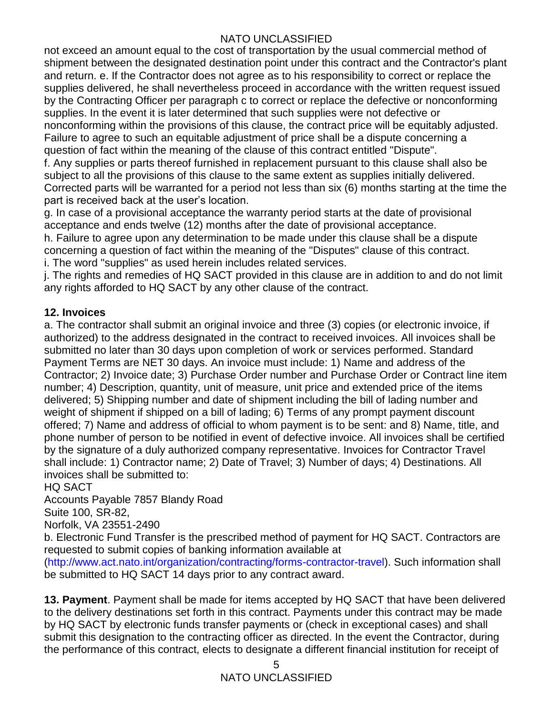not exceed an amount equal to the cost of transportation by the usual commercial method of shipment between the designated destination point under this contract and the Contractor's plant and return. e. If the Contractor does not agree as to his responsibility to correct or replace the supplies delivered, he shall nevertheless proceed in accordance with the written request issued by the Contracting Officer per paragraph c to correct or replace the defective or nonconforming supplies. In the event it is later determined that such supplies were not defective or nonconforming within the provisions of this clause, the contract price will be equitably adjusted. Failure to agree to such an equitable adjustment of price shall be a dispute concerning a question of fact within the meaning of the clause of this contract entitled "Dispute".

f. Any supplies or parts thereof furnished in replacement pursuant to this clause shall also be subject to all the provisions of this clause to the same extent as supplies initially delivered. Corrected parts will be warranted for a period not less than six (6) months starting at the time the part is received back at the user's location.

g. In case of a provisional acceptance the warranty period starts at the date of provisional acceptance and ends twelve (12) months after the date of provisional acceptance.

h. Failure to agree upon any determination to be made under this clause shall be a dispute concerning a question of fact within the meaning of the "Disputes" clause of this contract. i. The word "supplies" as used herein includes related services.

j. The rights and remedies of HQ SACT provided in this clause are in addition to and do not limit any rights afforded to HQ SACT by any other clause of the contract.

## **12. Invoices**

a. The contractor shall submit an original invoice and three (3) copies (or electronic invoice, if authorized) to the address designated in the contract to received invoices. All invoices shall be submitted no later than 30 days upon completion of work or services performed. Standard Payment Terms are NET 30 days. An invoice must include: 1) Name and address of the Contractor; 2) Invoice date; 3) Purchase Order number and Purchase Order or Contract line item number; 4) Description, quantity, unit of measure, unit price and extended price of the items delivered; 5) Shipping number and date of shipment including the bill of lading number and weight of shipment if shipped on a bill of lading; 6) Terms of any prompt payment discount offered; 7) Name and address of official to whom payment is to be sent: and 8) Name, title, and phone number of person to be notified in event of defective invoice. All invoices shall be certified by the signature of a duly authorized company representative. Invoices for Contractor Travel shall include: 1) Contractor name; 2) Date of Travel; 3) Number of days; 4) Destinations. All invoices shall be submitted to:

## HQ SACT

Accounts Payable 7857 Blandy Road Suite 100, SR-82, Norfolk, VA 23551-2490

b. Electronic Fund Transfer is the prescribed method of payment for HQ SACT. Contractors are requested to submit copies of banking information available at

(http://www.act.nato.int/organization/contracting/forms-contractor-travel). Such information shall be submitted to HQ SACT 14 days prior to any contract award.

**13. Payment**. Payment shall be made for items accepted by HQ SACT that have been delivered to the delivery destinations set forth in this contract. Payments under this contract may be made by HQ SACT by electronic funds transfer payments or (check in exceptional cases) and shall submit this designation to the contracting officer as directed. In the event the Contractor, during the performance of this contract, elects to designate a different financial institution for receipt of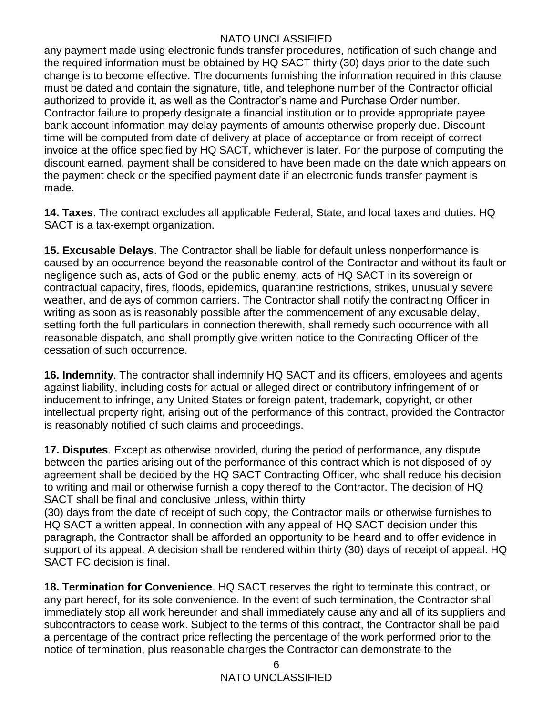any payment made using electronic funds transfer procedures, notification of such change and the required information must be obtained by HQ SACT thirty (30) days prior to the date such change is to become effective. The documents furnishing the information required in this clause must be dated and contain the signature, title, and telephone number of the Contractor official authorized to provide it, as well as the Contractor's name and Purchase Order number. Contractor failure to properly designate a financial institution or to provide appropriate payee bank account information may delay payments of amounts otherwise properly due. Discount time will be computed from date of delivery at place of acceptance or from receipt of correct invoice at the office specified by HQ SACT, whichever is later. For the purpose of computing the discount earned, payment shall be considered to have been made on the date which appears on the payment check or the specified payment date if an electronic funds transfer payment is made.

**14. Taxes**. The contract excludes all applicable Federal, State, and local taxes and duties. HQ SACT is a tax-exempt organization.

**15. Excusable Delays**. The Contractor shall be liable for default unless nonperformance is caused by an occurrence beyond the reasonable control of the Contractor and without its fault or negligence such as, acts of God or the public enemy, acts of HQ SACT in its sovereign or contractual capacity, fires, floods, epidemics, quarantine restrictions, strikes, unusually severe weather, and delays of common carriers. The Contractor shall notify the contracting Officer in writing as soon as is reasonably possible after the commencement of any excusable delay, setting forth the full particulars in connection therewith, shall remedy such occurrence with all reasonable dispatch, and shall promptly give written notice to the Contracting Officer of the cessation of such occurrence.

**16. Indemnity**. The contractor shall indemnify HQ SACT and its officers, employees and agents against liability, including costs for actual or alleged direct or contributory infringement of or inducement to infringe, any United States or foreign patent, trademark, copyright, or other intellectual property right, arising out of the performance of this contract, provided the Contractor is reasonably notified of such claims and proceedings.

**17. Disputes**. Except as otherwise provided, during the period of performance, any dispute between the parties arising out of the performance of this contract which is not disposed of by agreement shall be decided by the HQ SACT Contracting Officer, who shall reduce his decision to writing and mail or otherwise furnish a copy thereof to the Contractor. The decision of HQ SACT shall be final and conclusive unless, within thirty

(30) days from the date of receipt of such copy, the Contractor mails or otherwise furnishes to HQ SACT a written appeal. In connection with any appeal of HQ SACT decision under this paragraph, the Contractor shall be afforded an opportunity to be heard and to offer evidence in support of its appeal. A decision shall be rendered within thirty (30) days of receipt of appeal. HQ SACT FC decision is final.

**18. Termination for Convenience**. HQ SACT reserves the right to terminate this contract, or any part hereof, for its sole convenience. In the event of such termination, the Contractor shall immediately stop all work hereunder and shall immediately cause any and all of its suppliers and subcontractors to cease work. Subject to the terms of this contract, the Contractor shall be paid a percentage of the contract price reflecting the percentage of the work performed prior to the notice of termination, plus reasonable charges the Contractor can demonstrate to the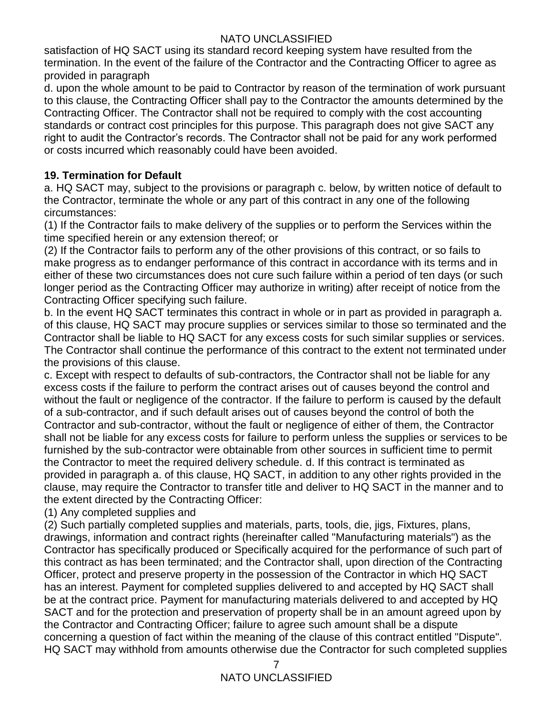satisfaction of HQ SACT using its standard record keeping system have resulted from the termination. In the event of the failure of the Contractor and the Contracting Officer to agree as provided in paragraph

d. upon the whole amount to be paid to Contractor by reason of the termination of work pursuant to this clause, the Contracting Officer shall pay to the Contractor the amounts determined by the Contracting Officer. The Contractor shall not be required to comply with the cost accounting standards or contract cost principles for this purpose. This paragraph does not give SACT any right to audit the Contractor's records. The Contractor shall not be paid for any work performed or costs incurred which reasonably could have been avoided.

## **19. Termination for Default**

a. HQ SACT may, subject to the provisions or paragraph c. below, by written notice of default to the Contractor, terminate the whole or any part of this contract in any one of the following circumstances:

(1) If the Contractor fails to make delivery of the supplies or to perform the Services within the time specified herein or any extension thereof; or

(2) If the Contractor fails to perform any of the other provisions of this contract, or so fails to make progress as to endanger performance of this contract in accordance with its terms and in either of these two circumstances does not cure such failure within a period of ten days (or such longer period as the Contracting Officer may authorize in writing) after receipt of notice from the Contracting Officer specifying such failure.

b. In the event HQ SACT terminates this contract in whole or in part as provided in paragraph a. of this clause, HQ SACT may procure supplies or services similar to those so terminated and the Contractor shall be liable to HQ SACT for any excess costs for such similar supplies or services. The Contractor shall continue the performance of this contract to the extent not terminated under the provisions of this clause.

c. Except with respect to defaults of sub-contractors, the Contractor shall not be liable for any excess costs if the failure to perform the contract arises out of causes beyond the control and without the fault or negligence of the contractor. If the failure to perform is caused by the default of a sub-contractor, and if such default arises out of causes beyond the control of both the Contractor and sub-contractor, without the fault or negligence of either of them, the Contractor shall not be liable for any excess costs for failure to perform unless the supplies or services to be furnished by the sub-contractor were obtainable from other sources in sufficient time to permit the Contractor to meet the required delivery schedule. d. If this contract is terminated as provided in paragraph a. of this clause, HQ SACT, in addition to any other rights provided in the clause, may require the Contractor to transfer title and deliver to HQ SACT in the manner and to the extent directed by the Contracting Officer:

(1) Any completed supplies and

(2) Such partially completed supplies and materials, parts, tools, die, jigs, Fixtures, plans, drawings, information and contract rights (hereinafter called "Manufacturing materials") as the Contractor has specifically produced or Specifically acquired for the performance of such part of this contract as has been terminated; and the Contractor shall, upon direction of the Contracting Officer, protect and preserve property in the possession of the Contractor in which HQ SACT has an interest. Payment for completed supplies delivered to and accepted by HQ SACT shall be at the contract price. Payment for manufacturing materials delivered to and accepted by HQ SACT and for the protection and preservation of property shall be in an amount agreed upon by the Contractor and Contracting Officer; failure to agree such amount shall be a dispute concerning a question of fact within the meaning of the clause of this contract entitled "Dispute". HQ SACT may withhold from amounts otherwise due the Contractor for such completed supplies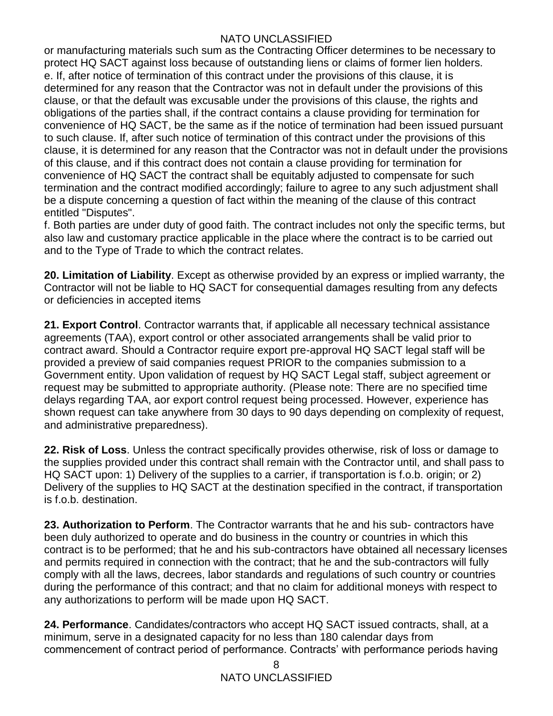or manufacturing materials such sum as the Contracting Officer determines to be necessary to protect HQ SACT against loss because of outstanding liens or claims of former lien holders. e. If, after notice of termination of this contract under the provisions of this clause, it is determined for any reason that the Contractor was not in default under the provisions of this clause, or that the default was excusable under the provisions of this clause, the rights and obligations of the parties shall, if the contract contains a clause providing for termination for convenience of HQ SACT, be the same as if the notice of termination had been issued pursuant to such clause. If, after such notice of termination of this contract under the provisions of this clause, it is determined for any reason that the Contractor was not in default under the provisions of this clause, and if this contract does not contain a clause providing for termination for convenience of HQ SACT the contract shall be equitably adjusted to compensate for such termination and the contract modified accordingly; failure to agree to any such adjustment shall be a dispute concerning a question of fact within the meaning of the clause of this contract entitled "Disputes".

f. Both parties are under duty of good faith. The contract includes not only the specific terms, but also law and customary practice applicable in the place where the contract is to be carried out and to the Type of Trade to which the contract relates.

**20. Limitation of Liability**. Except as otherwise provided by an express or implied warranty, the Contractor will not be liable to HQ SACT for consequential damages resulting from any defects or deficiencies in accepted items

**21. Export Control**. Contractor warrants that, if applicable all necessary technical assistance agreements (TAA), export control or other associated arrangements shall be valid prior to contract award. Should a Contractor require export pre-approval HQ SACT legal staff will be provided a preview of said companies request PRIOR to the companies submission to a Government entity. Upon validation of request by HQ SACT Legal staff, subject agreement or request may be submitted to appropriate authority. (Please note: There are no specified time delays regarding TAA, aor export control request being processed. However, experience has shown request can take anywhere from 30 days to 90 days depending on complexity of request, and administrative preparedness).

**22. Risk of Loss**. Unless the contract specifically provides otherwise, risk of loss or damage to the supplies provided under this contract shall remain with the Contractor until, and shall pass to HQ SACT upon: 1) Delivery of the supplies to a carrier, if transportation is f.o.b. origin; or 2) Delivery of the supplies to HQ SACT at the destination specified in the contract, if transportation is f.o.b. destination.

**23. Authorization to Perform**. The Contractor warrants that he and his sub- contractors have been duly authorized to operate and do business in the country or countries in which this contract is to be performed; that he and his sub-contractors have obtained all necessary licenses and permits required in connection with the contract; that he and the sub-contractors will fully comply with all the laws, decrees, labor standards and regulations of such country or countries during the performance of this contract; and that no claim for additional moneys with respect to any authorizations to perform will be made upon HQ SACT.

**24. Performance**. Candidates/contractors who accept HQ SACT issued contracts, shall, at a minimum, serve in a designated capacity for no less than 180 calendar days from commencement of contract period of performance. Contracts' with performance periods having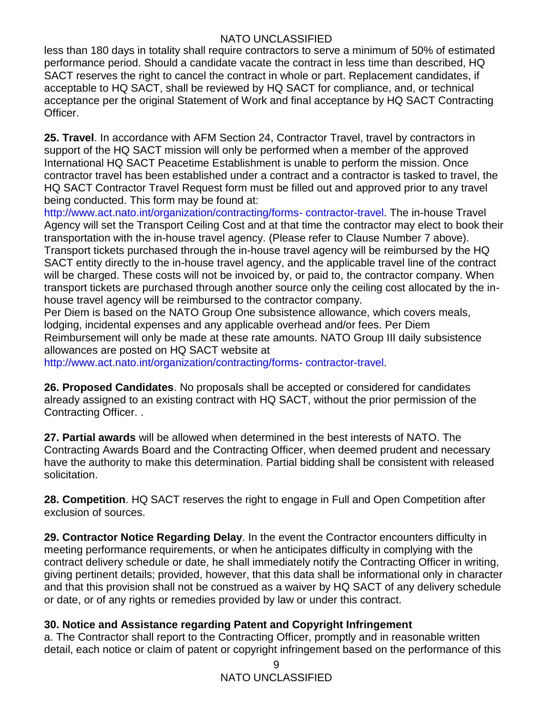less than 180 days in totality shall require contractors to serve a minimum of 50% of estimated performance period. Should a candidate vacate the contract in less time than described, HQ SACT reserves the right to cancel the contract in whole or part. Replacement candidates, if acceptable to HQ SACT, shall be reviewed by HQ SACT for compliance, and, or technical acceptance per the original Statement of Work and final acceptance by HQ SACT Contracting Officer.

**25. Travel**. In accordance with AFM Section 24, Contractor Travel, travel by contractors in support of the HQ SACT mission will only be performed when a member of the approved International HQ SACT Peacetime Establishment is unable to perform the mission. Once contractor travel has been established under a contract and a contractor is tasked to travel, the HQ SACT Contractor Travel Request form must be filled out and approved prior to any travel being conducted. This form may be found at:

http://www.act.nato.int/organization/contracting/forms- contractor-travel. The in-house Travel Agency will set the Transport Ceiling Cost and at that time the contractor may elect to book their transportation with the in-house travel agency. (Please refer to Clause Number 7 above). Transport tickets purchased through the in-house travel agency will be reimbursed by the HQ SACT entity directly to the in-house travel agency, and the applicable travel line of the contract will be charged. These costs will not be invoiced by, or paid to, the contractor company. When transport tickets are purchased through another source only the ceiling cost allocated by the inhouse travel agency will be reimbursed to the contractor company.

Per Diem is based on the NATO Group One subsistence allowance, which covers meals, lodging, incidental expenses and any applicable overhead and/or fees. Per Diem Reimbursement will only be made at these rate amounts. NATO Group III daily subsistence allowances are posted on HQ SACT website at

http://www.act.nato.int/organization/contracting/forms- contractor-travel.

**26. Proposed Candidates**. No proposals shall be accepted or considered for candidates already assigned to an existing contract with HQ SACT, without the prior permission of the Contracting Officer. .

**27. Partial awards** will be allowed when determined in the best interests of NATO. The Contracting Awards Board and the Contracting Officer, when deemed prudent and necessary have the authority to make this determination. Partial bidding shall be consistent with released solicitation.

**28. Competition**. HQ SACT reserves the right to engage in Full and Open Competition after exclusion of sources.

**29. Contractor Notice Regarding Delay**. In the event the Contractor encounters difficulty in meeting performance requirements, or when he anticipates difficulty in complying with the contract delivery schedule or date, he shall immediately notify the Contracting Officer in writing, giving pertinent details; provided, however, that this data shall be informational only in character and that this provision shall not be construed as a waiver by HQ SACT of any delivery schedule or date, or of any rights or remedies provided by law or under this contract.

## **30. Notice and Assistance regarding Patent and Copyright Infringement**

a. The Contractor shall report to the Contracting Officer, promptly and in reasonable written detail, each notice or claim of patent or copyright infringement based on the performance of this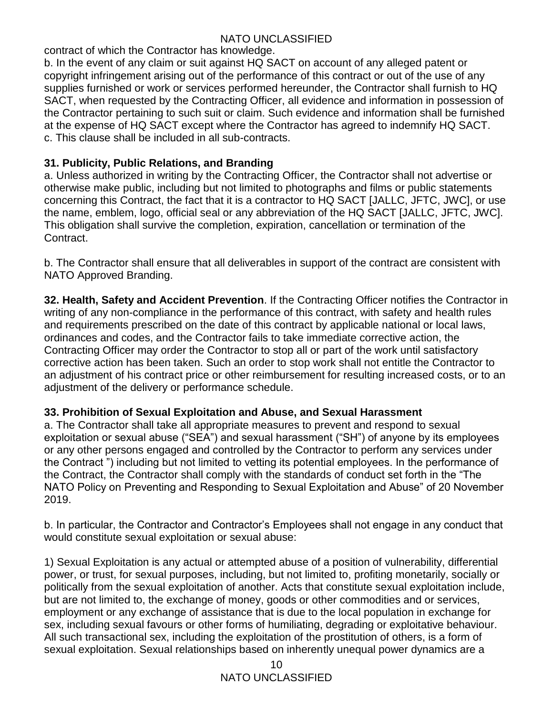contract of which the Contractor has knowledge.

b. In the event of any claim or suit against HQ SACT on account of any alleged patent or copyright infringement arising out of the performance of this contract or out of the use of any supplies furnished or work or services performed hereunder, the Contractor shall furnish to HQ SACT, when requested by the Contracting Officer, all evidence and information in possession of the Contractor pertaining to such suit or claim. Such evidence and information shall be furnished at the expense of HQ SACT except where the Contractor has agreed to indemnify HQ SACT. c. This clause shall be included in all sub-contracts.

## **31. Publicity, Public Relations, and Branding**

a. Unless authorized in writing by the Contracting Officer, the Contractor shall not advertise or otherwise make public, including but not limited to photographs and films or public statements concerning this Contract, the fact that it is a contractor to HQ SACT [JALLC, JFTC, JWC], or use the name, emblem, logo, official seal or any abbreviation of the HQ SACT [JALLC, JFTC, JWC]. This obligation shall survive the completion, expiration, cancellation or termination of the Contract.

b. The Contractor shall ensure that all deliverables in support of the contract are consistent with NATO Approved Branding.

**32. Health, Safety and Accident Prevention**. If the Contracting Officer notifies the Contractor in writing of any non-compliance in the performance of this contract, with safety and health rules and requirements prescribed on the date of this contract by applicable national or local laws, ordinances and codes, and the Contractor fails to take immediate corrective action, the Contracting Officer may order the Contractor to stop all or part of the work until satisfactory corrective action has been taken. Such an order to stop work shall not entitle the Contractor to an adjustment of his contract price or other reimbursement for resulting increased costs, or to an adjustment of the delivery or performance schedule.

#### **33. Prohibition of Sexual Exploitation and Abuse, and Sexual Harassment**

a. The Contractor shall take all appropriate measures to prevent and respond to sexual exploitation or sexual abuse ("SEA") and sexual harassment ("SH") of anyone by its employees or any other persons engaged and controlled by the Contractor to perform any services under the Contract ") including but not limited to vetting its potential employees. In the performance of the Contract, the Contractor shall comply with the standards of conduct set forth in the "The NATO Policy on Preventing and Responding to Sexual Exploitation and Abuse" of 20 November 2019.

b. In particular, the Contractor and Contractor's Employees shall not engage in any conduct that would constitute sexual exploitation or sexual abuse:

1) Sexual Exploitation is any actual or attempted abuse of a position of vulnerability, differential power, or trust, for sexual purposes, including, but not limited to, profiting monetarily, socially or politically from the sexual exploitation of another. Acts that constitute sexual exploitation include, but are not limited to, the exchange of money, goods or other commodities and or services, employment or any exchange of assistance that is due to the local population in exchange for sex, including sexual favours or other forms of humiliating, degrading or exploitative behaviour. All such transactional sex, including the exploitation of the prostitution of others, is a form of sexual exploitation. Sexual relationships based on inherently unequal power dynamics are a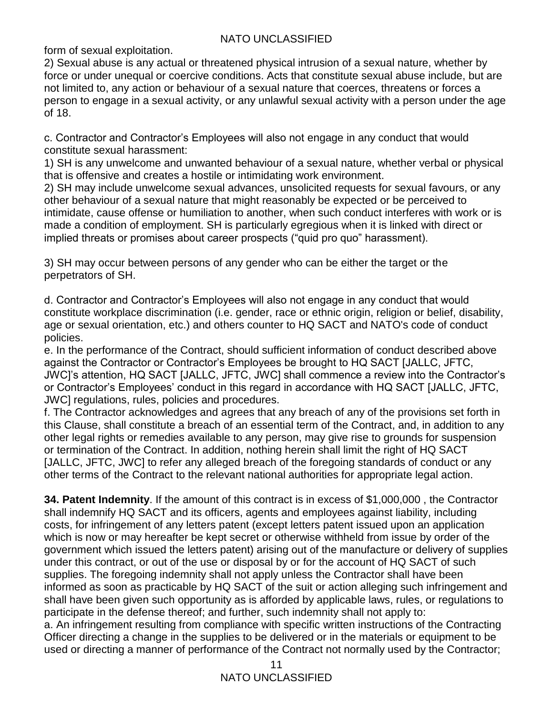form of sexual exploitation.

2) Sexual abuse is any actual or threatened physical intrusion of a sexual nature, whether by force or under unequal or coercive conditions. Acts that constitute sexual abuse include, but are not limited to, any action or behaviour of a sexual nature that coerces, threatens or forces a person to engage in a sexual activity, or any unlawful sexual activity with a person under the age of 18.

c. Contractor and Contractor's Employees will also not engage in any conduct that would constitute sexual harassment:

1) SH is any unwelcome and unwanted behaviour of a sexual nature, whether verbal or physical that is offensive and creates a hostile or intimidating work environment.

2) SH may include unwelcome sexual advances, unsolicited requests for sexual favours, or any other behaviour of a sexual nature that might reasonably be expected or be perceived to intimidate, cause offense or humiliation to another, when such conduct interferes with work or is made a condition of employment. SH is particularly egregious when it is linked with direct or implied threats or promises about career prospects ("quid pro quo" harassment).

3) SH may occur between persons of any gender who can be either the target or the perpetrators of SH.

d. Contractor and Contractor's Employees will also not engage in any conduct that would constitute workplace discrimination (i.e. gender, race or ethnic origin, religion or belief, disability, age or sexual orientation, etc.) and others counter to HQ SACT and NATO's code of conduct policies.

e. In the performance of the Contract, should sufficient information of conduct described above against the Contractor or Contractor's Employees be brought to HQ SACT [JALLC, JFTC, JWC]'s attention, HQ SACT [JALLC, JFTC, JWC] shall commence a review into the Contractor's or Contractor's Employees' conduct in this regard in accordance with HQ SACT [JALLC, JFTC, JWC] regulations, rules, policies and procedures.

f. The Contractor acknowledges and agrees that any breach of any of the provisions set forth in this Clause, shall constitute a breach of an essential term of the Contract, and, in addition to any other legal rights or remedies available to any person, may give rise to grounds for suspension or termination of the Contract. In addition, nothing herein shall limit the right of HQ SACT [JALLC, JFTC, JWC] to refer any alleged breach of the foregoing standards of conduct or any other terms of the Contract to the relevant national authorities for appropriate legal action.

**34. Patent Indemnity**. If the amount of this contract is in excess of \$1,000,000 , the Contractor shall indemnify HQ SACT and its officers, agents and employees against liability, including costs, for infringement of any letters patent (except letters patent issued upon an application which is now or may hereafter be kept secret or otherwise withheld from issue by order of the government which issued the letters patent) arising out of the manufacture or delivery of supplies under this contract, or out of the use or disposal by or for the account of HQ SACT of such supplies. The foregoing indemnity shall not apply unless the Contractor shall have been informed as soon as practicable by HQ SACT of the suit or action alleging such infringement and shall have been given such opportunity as is afforded by applicable laws, rules, or regulations to participate in the defense thereof; and further, such indemnity shall not apply to:

a. An infringement resulting from compliance with specific written instructions of the Contracting Officer directing a change in the supplies to be delivered or in the materials or equipment to be used or directing a manner of performance of the Contract not normally used by the Contractor;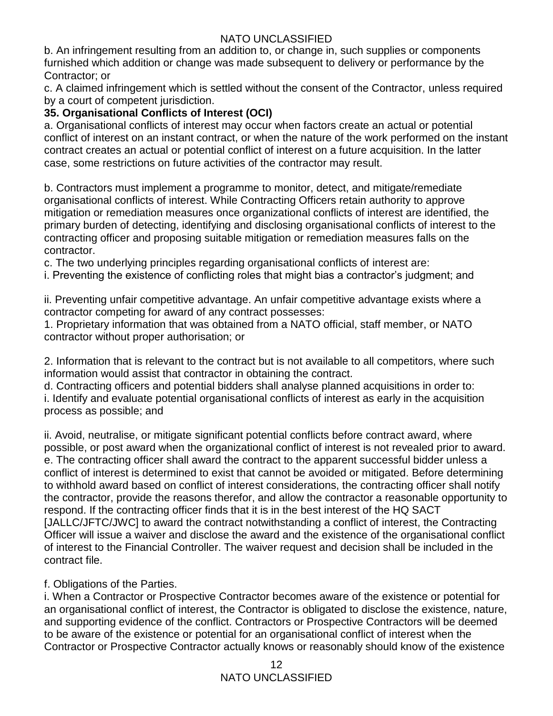b. An infringement resulting from an addition to, or change in, such supplies or components furnished which addition or change was made subsequent to delivery or performance by the Contractor; or

c. A claimed infringement which is settled without the consent of the Contractor, unless required by a court of competent jurisdiction.

## **35. Organisational Conflicts of Interest (OCI)**

a. Organisational conflicts of interest may occur when factors create an actual or potential conflict of interest on an instant contract, or when the nature of the work performed on the instant contract creates an actual or potential conflict of interest on a future acquisition. In the latter case, some restrictions on future activities of the contractor may result.

b. Contractors must implement a programme to monitor, detect, and mitigate/remediate organisational conflicts of interest. While Contracting Officers retain authority to approve mitigation or remediation measures once organizational conflicts of interest are identified, the primary burden of detecting, identifying and disclosing organisational conflicts of interest to the contracting officer and proposing suitable mitigation or remediation measures falls on the contractor.

c. The two underlying principles regarding organisational conflicts of interest are:

i. Preventing the existence of conflicting roles that might bias a contractor's judgment; and

ii. Preventing unfair competitive advantage. An unfair competitive advantage exists where a contractor competing for award of any contract possesses:

1. Proprietary information that was obtained from a NATO official, staff member, or NATO contractor without proper authorisation; or

2. Information that is relevant to the contract but is not available to all competitors, where such information would assist that contractor in obtaining the contract.

d. Contracting officers and potential bidders shall analyse planned acquisitions in order to: i. Identify and evaluate potential organisational conflicts of interest as early in the acquisition process as possible; and

ii. Avoid, neutralise, or mitigate significant potential conflicts before contract award, where possible, or post award when the organizational conflict of interest is not revealed prior to award. e. The contracting officer shall award the contract to the apparent successful bidder unless a conflict of interest is determined to exist that cannot be avoided or mitigated. Before determining to withhold award based on conflict of interest considerations, the contracting officer shall notify the contractor, provide the reasons therefor, and allow the contractor a reasonable opportunity to respond. If the contracting officer finds that it is in the best interest of the HQ SACT [JALLC/JFTC/JWC] to award the contract notwithstanding a conflict of interest, the Contracting Officer will issue a waiver and disclose the award and the existence of the organisational conflict of interest to the Financial Controller. The waiver request and decision shall be included in the contract file.

## f. Obligations of the Parties.

i. When a Contractor or Prospective Contractor becomes aware of the existence or potential for an organisational conflict of interest, the Contractor is obligated to disclose the existence, nature, and supporting evidence of the conflict. Contractors or Prospective Contractors will be deemed to be aware of the existence or potential for an organisational conflict of interest when the Contractor or Prospective Contractor actually knows or reasonably should know of the existence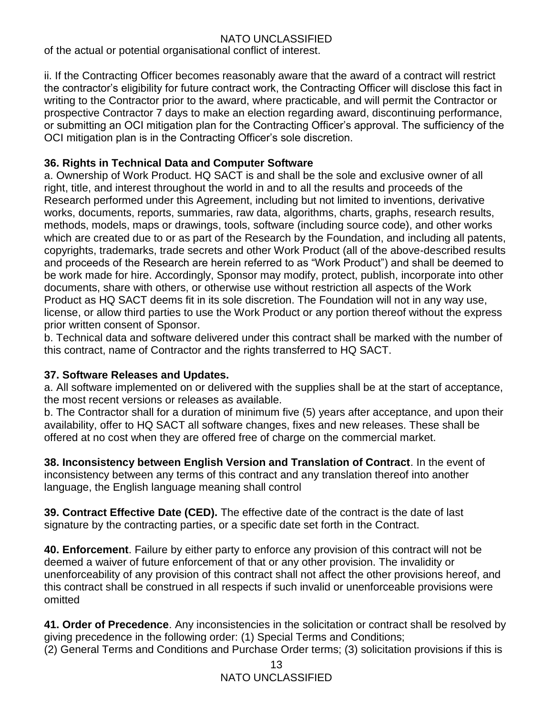of the actual or potential organisational conflict of interest.

ii. If the Contracting Officer becomes reasonably aware that the award of a contract will restrict the contractor's eligibility for future contract work, the Contracting Officer will disclose this fact in writing to the Contractor prior to the award, where practicable, and will permit the Contractor or prospective Contractor 7 days to make an election regarding award, discontinuing performance, or submitting an OCI mitigation plan for the Contracting Officer's approval. The sufficiency of the OCI mitigation plan is in the Contracting Officer's sole discretion.

## **36. Rights in Technical Data and Computer Software**

a. Ownership of Work Product. HQ SACT is and shall be the sole and exclusive owner of all right, title, and interest throughout the world in and to all the results and proceeds of the Research performed under this Agreement, including but not limited to inventions, derivative works, documents, reports, summaries, raw data, algorithms, charts, graphs, research results, methods, models, maps or drawings, tools, software (including source code), and other works which are created due to or as part of the Research by the Foundation, and including all patents, copyrights, trademarks, trade secrets and other Work Product (all of the above-described results and proceeds of the Research are herein referred to as "Work Product") and shall be deemed to be work made for hire. Accordingly, Sponsor may modify, protect, publish, incorporate into other documents, share with others, or otherwise use without restriction all aspects of the Work Product as HQ SACT deems fit in its sole discretion. The Foundation will not in any way use, license, or allow third parties to use the Work Product or any portion thereof without the express prior written consent of Sponsor.

b. Technical data and software delivered under this contract shall be marked with the number of this contract, name of Contractor and the rights transferred to HQ SACT.

#### **37. Software Releases and Updates.**

a. All software implemented on or delivered with the supplies shall be at the start of acceptance, the most recent versions or releases as available.

b. The Contractor shall for a duration of minimum five (5) years after acceptance, and upon their availability, offer to HQ SACT all software changes, fixes and new releases. These shall be offered at no cost when they are offered free of charge on the commercial market.

**38. Inconsistency between English Version and Translation of Contract**. In the event of inconsistency between any terms of this contract and any translation thereof into another language, the English language meaning shall control

**39. Contract Effective Date (CED).** The effective date of the contract is the date of last signature by the contracting parties, or a specific date set forth in the Contract.

**40. Enforcement**. Failure by either party to enforce any provision of this contract will not be deemed a waiver of future enforcement of that or any other provision. The invalidity or unenforceability of any provision of this contract shall not affect the other provisions hereof, and this contract shall be construed in all respects if such invalid or unenforceable provisions were omitted

**41. Order of Precedence**. Any inconsistencies in the solicitation or contract shall be resolved by giving precedence in the following order: (1) Special Terms and Conditions; (2) General Terms and Conditions and Purchase Order terms; (3) solicitation provisions if this is

> 13 NATO UNCLASSIFIED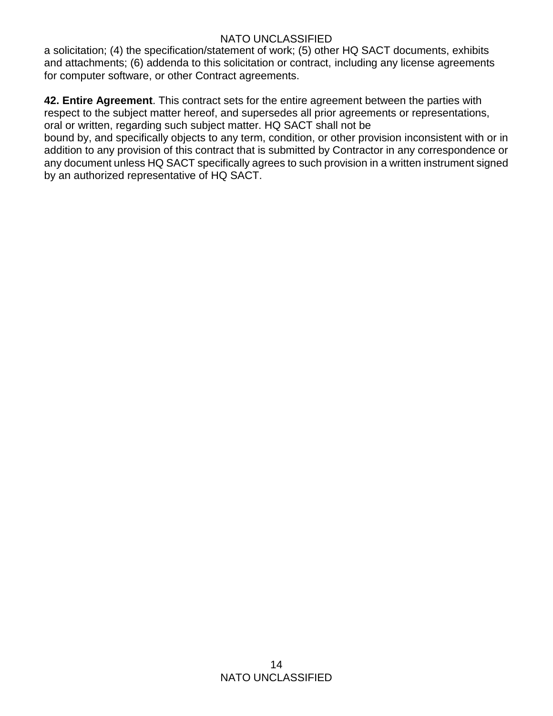a solicitation; (4) the specification/statement of work; (5) other HQ SACT documents, exhibits and attachments; (6) addenda to this solicitation or contract, including any license agreements for computer software, or other Contract agreements.

**42. Entire Agreement**. This contract sets for the entire agreement between the parties with respect to the subject matter hereof, and supersedes all prior agreements or representations, oral or written, regarding such subject matter. HQ SACT shall not be

bound by, and specifically objects to any term, condition, or other provision inconsistent with or in addition to any provision of this contract that is submitted by Contractor in any correspondence or any document unless HQ SACT specifically agrees to such provision in a written instrument signed by an authorized representative of HQ SACT.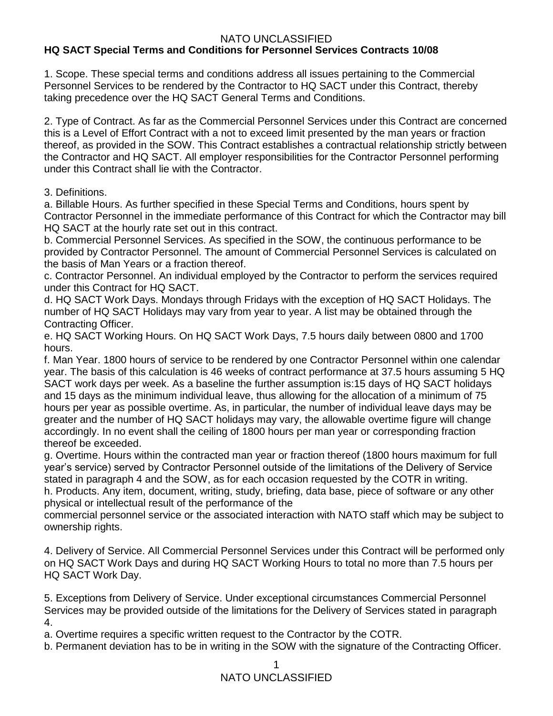#### NATO UNCLASSIFIED **HQ SACT Special Terms and Conditions for Personnel Services Contracts 10/08**

1. Scope. These special terms and conditions address all issues pertaining to the Commercial Personnel Services to be rendered by the Contractor to HQ SACT under this Contract, thereby taking precedence over the HQ SACT General Terms and Conditions.

2. Type of Contract. As far as the Commercial Personnel Services under this Contract are concerned this is a Level of Effort Contract with a not to exceed limit presented by the man years or fraction thereof, as provided in the SOW. This Contract establishes a contractual relationship strictly between the Contractor and HQ SACT. All employer responsibilities for the Contractor Personnel performing under this Contract shall lie with the Contractor.

#### 3. Definitions.

a. Billable Hours. As further specified in these Special Terms and Conditions, hours spent by Contractor Personnel in the immediate performance of this Contract for which the Contractor may bill HQ SACT at the hourly rate set out in this contract.

b. Commercial Personnel Services. As specified in the SOW, the continuous performance to be provided by Contractor Personnel. The amount of Commercial Personnel Services is calculated on the basis of Man Years or a fraction thereof.

c. Contractor Personnel. An individual employed by the Contractor to perform the services required under this Contract for HQ SACT.

d. HQ SACT Work Days. Mondays through Fridays with the exception of HQ SACT Holidays. The number of HQ SACT Holidays may vary from year to year. A list may be obtained through the Contracting Officer.

e. HQ SACT Working Hours. On HQ SACT Work Days, 7.5 hours daily between 0800 and 1700 hours.

f. Man Year. 1800 hours of service to be rendered by one Contractor Personnel within one calendar year. The basis of this calculation is 46 weeks of contract performance at 37.5 hours assuming 5 HQ SACT work days per week. As a baseline the further assumption is:15 days of HQ SACT holidays and 15 days as the minimum individual leave, thus allowing for the allocation of a minimum of 75 hours per year as possible overtime. As, in particular, the number of individual leave days may be greater and the number of HQ SACT holidays may vary, the allowable overtime figure will change accordingly. In no event shall the ceiling of 1800 hours per man year or corresponding fraction thereof be exceeded.

g. Overtime. Hours within the contracted man year or fraction thereof (1800 hours maximum for full year's service) served by Contractor Personnel outside of the limitations of the Delivery of Service stated in paragraph 4 and the SOW, as for each occasion requested by the COTR in writing. h. Products. Any item, document, writing, study, briefing, data base, piece of software or any other physical or intellectual result of the performance of the

commercial personnel service or the associated interaction with NATO staff which may be subject to ownership rights.

4. Delivery of Service. All Commercial Personnel Services under this Contract will be performed only on HQ SACT Work Days and during HQ SACT Working Hours to total no more than 7.5 hours per HQ SACT Work Day.

5. Exceptions from Delivery of Service. Under exceptional circumstances Commercial Personnel Services may be provided outside of the limitations for the Delivery of Services stated in paragraph 4.

a. Overtime requires a specific written request to the Contractor by the COTR.

b. Permanent deviation has to be in writing in the SOW with the signature of the Contracting Officer.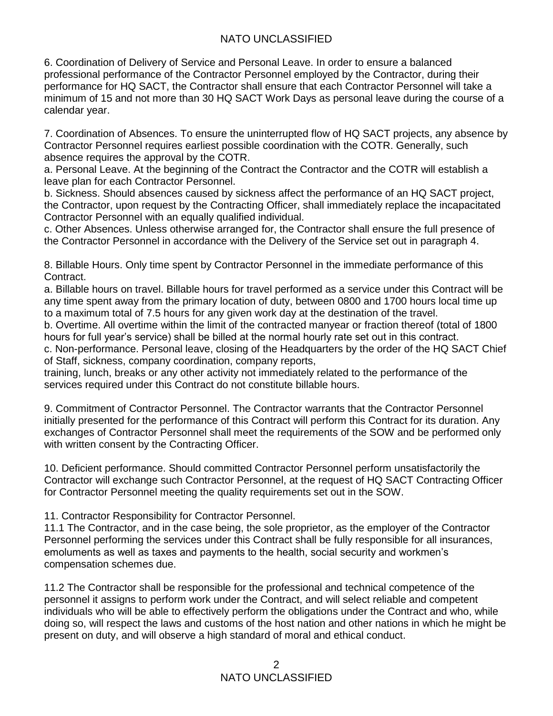6. Coordination of Delivery of Service and Personal Leave. In order to ensure a balanced professional performance of the Contractor Personnel employed by the Contractor, during their performance for HQ SACT, the Contractor shall ensure that each Contractor Personnel will take a minimum of 15 and not more than 30 HQ SACT Work Days as personal leave during the course of a calendar year.

7. Coordination of Absences. To ensure the uninterrupted flow of HQ SACT projects, any absence by Contractor Personnel requires earliest possible coordination with the COTR. Generally, such absence requires the approval by the COTR.

a. Personal Leave. At the beginning of the Contract the Contractor and the COTR will establish a leave plan for each Contractor Personnel.

b. Sickness. Should absences caused by sickness affect the performance of an HQ SACT project, the Contractor, upon request by the Contracting Officer, shall immediately replace the incapacitated Contractor Personnel with an equally qualified individual.

c. Other Absences. Unless otherwise arranged for, the Contractor shall ensure the full presence of the Contractor Personnel in accordance with the Delivery of the Service set out in paragraph 4.

8. Billable Hours. Only time spent by Contractor Personnel in the immediate performance of this Contract.

a. Billable hours on travel. Billable hours for travel performed as a service under this Contract will be any time spent away from the primary location of duty, between 0800 and 1700 hours local time up to a maximum total of 7.5 hours for any given work day at the destination of the travel.

b. Overtime. All overtime within the limit of the contracted manyear or fraction thereof (total of 1800 hours for full year's service) shall be billed at the normal hourly rate set out in this contract.

c. Non-performance. Personal leave, closing of the Headquarters by the order of the HQ SACT Chief of Staff, sickness, company coordination, company reports,

training, lunch, breaks or any other activity not immediately related to the performance of the services required under this Contract do not constitute billable hours.

9. Commitment of Contractor Personnel. The Contractor warrants that the Contractor Personnel initially presented for the performance of this Contract will perform this Contract for its duration. Any exchanges of Contractor Personnel shall meet the requirements of the SOW and be performed only with written consent by the Contracting Officer.

10. Deficient performance. Should committed Contractor Personnel perform unsatisfactorily the Contractor will exchange such Contractor Personnel, at the request of HQ SACT Contracting Officer for Contractor Personnel meeting the quality requirements set out in the SOW.

11. Contractor Responsibility for Contractor Personnel.

11.1 The Contractor, and in the case being, the sole proprietor, as the employer of the Contractor Personnel performing the services under this Contract shall be fully responsible for all insurances, emoluments as well as taxes and payments to the health, social security and workmen's compensation schemes due.

11.2 The Contractor shall be responsible for the professional and technical competence of the personnel it assigns to perform work under the Contract, and will select reliable and competent individuals who will be able to effectively perform the obligations under the Contract and who, while doing so, will respect the laws and customs of the host nation and other nations in which he might be present on duty, and will observe a high standard of moral and ethical conduct.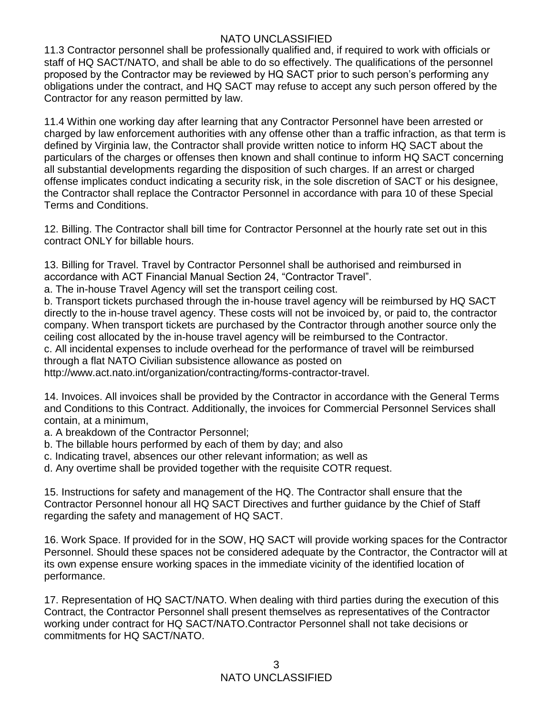11.3 Contractor personnel shall be professionally qualified and, if required to work with officials or staff of HQ SACT/NATO, and shall be able to do so effectively. The qualifications of the personnel proposed by the Contractor may be reviewed by HQ SACT prior to such person's performing any obligations under the contract, and HQ SACT may refuse to accept any such person offered by the Contractor for any reason permitted by law.

11.4 Within one working day after learning that any Contractor Personnel have been arrested or charged by law enforcement authorities with any offense other than a traffic infraction, as that term is defined by Virginia law, the Contractor shall provide written notice to inform HQ SACT about the particulars of the charges or offenses then known and shall continue to inform HQ SACT concerning all substantial developments regarding the disposition of such charges. If an arrest or charged offense implicates conduct indicating a security risk, in the sole discretion of SACT or his designee, the Contractor shall replace the Contractor Personnel in accordance with para 10 of these Special Terms and Conditions.

12. Billing. The Contractor shall bill time for Contractor Personnel at the hourly rate set out in this contract ONLY for billable hours.

13. Billing for Travel. Travel by Contractor Personnel shall be authorised and reimbursed in accordance with ACT Financial Manual Section 24, "Contractor Travel".

a. The in-house Travel Agency will set the transport ceiling cost.

b. Transport tickets purchased through the in-house travel agency will be reimbursed by HQ SACT directly to the in-house travel agency. These costs will not be invoiced by, or paid to, the contractor company. When transport tickets are purchased by the Contractor through another source only the ceiling cost allocated by the in-house travel agency will be reimbursed to the Contractor.

c. All incidental expenses to include overhead for the performance of travel will be reimbursed through a flat NATO Civilian subsistence allowance as posted on

http://www.act.nato.int/organization/contracting/forms-contractor-travel.

14. Invoices. All invoices shall be provided by the Contractor in accordance with the General Terms and Conditions to this Contract. Additionally, the invoices for Commercial Personnel Services shall contain, at a minimum,

- a. A breakdown of the Contractor Personnel;
- b. The billable hours performed by each of them by day; and also
- c. Indicating travel, absences our other relevant information; as well as
- d. Any overtime shall be provided together with the requisite COTR request.

15. Instructions for safety and management of the HQ. The Contractor shall ensure that the Contractor Personnel honour all HQ SACT Directives and further guidance by the Chief of Staff regarding the safety and management of HQ SACT.

16. Work Space. If provided for in the SOW, HQ SACT will provide working spaces for the Contractor Personnel. Should these spaces not be considered adequate by the Contractor, the Contractor will at its own expense ensure working spaces in the immediate vicinity of the identified location of performance.

17. Representation of HQ SACT/NATO. When dealing with third parties during the execution of this Contract, the Contractor Personnel shall present themselves as representatives of the Contractor working under contract for HQ SACT/NATO.Contractor Personnel shall not take decisions or commitments for HQ SACT/NATO.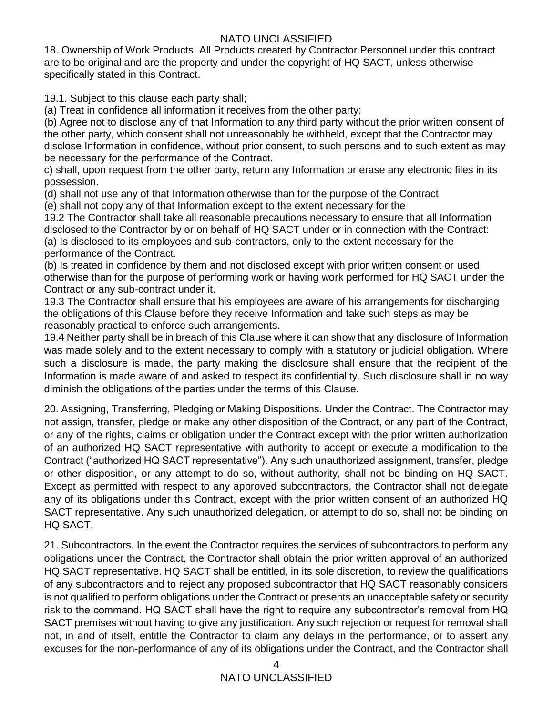18. Ownership of Work Products. All Products created by Contractor Personnel under this contract are to be original and are the property and under the copyright of HQ SACT, unless otherwise specifically stated in this Contract.

19.1. Subject to this clause each party shall;

(a) Treat in confidence all information it receives from the other party;

(b) Agree not to disclose any of that Information to any third party without the prior written consent of the other party, which consent shall not unreasonably be withheld, except that the Contractor may disclose Information in confidence, without prior consent, to such persons and to such extent as may be necessary for the performance of the Contract.

c) shall, upon request from the other party, return any Information or erase any electronic files in its possession.

(d) shall not use any of that Information otherwise than for the purpose of the Contract

(e) shall not copy any of that Information except to the extent necessary for the

19.2 The Contractor shall take all reasonable precautions necessary to ensure that all Information disclosed to the Contractor by or on behalf of HQ SACT under or in connection with the Contract: (a) Is disclosed to its employees and sub-contractors, only to the extent necessary for the performance of the Contract.

(b) Is treated in confidence by them and not disclosed except with prior written consent or used otherwise than for the purpose of performing work or having work performed for HQ SACT under the Contract or any sub-contract under it.

19.3 The Contractor shall ensure that his employees are aware of his arrangements for discharging the obligations of this Clause before they receive Information and take such steps as may be reasonably practical to enforce such arrangements.

19.4 Neither party shall be in breach of this Clause where it can show that any disclosure of Information was made solely and to the extent necessary to comply with a statutory or judicial obligation. Where such a disclosure is made, the party making the disclosure shall ensure that the recipient of the Information is made aware of and asked to respect its confidentiality. Such disclosure shall in no way diminish the obligations of the parties under the terms of this Clause.

20. Assigning, Transferring, Pledging or Making Dispositions. Under the Contract. The Contractor may not assign, transfer, pledge or make any other disposition of the Contract, or any part of the Contract, or any of the rights, claims or obligation under the Contract except with the prior written authorization of an authorized HQ SACT representative with authority to accept or execute a modification to the Contract ("authorized HQ SACT representative"). Any such unauthorized assignment, transfer, pledge or other disposition, or any attempt to do so, without authority, shall not be binding on HQ SACT. Except as permitted with respect to any approved subcontractors, the Contractor shall not delegate any of its obligations under this Contract, except with the prior written consent of an authorized HQ SACT representative. Any such unauthorized delegation, or attempt to do so, shall not be binding on HQ SACT.

21. Subcontractors. In the event the Contractor requires the services of subcontractors to perform any obligations under the Contract, the Contractor shall obtain the prior written approval of an authorized HQ SACT representative. HQ SACT shall be entitled, in its sole discretion, to review the qualifications of any subcontractors and to reject any proposed subcontractor that HQ SACT reasonably considers is not qualified to perform obligations under the Contract or presents an unacceptable safety or security risk to the command. HQ SACT shall have the right to require any subcontractor's removal from HQ SACT premises without having to give any justification. Any such rejection or request for removal shall not, in and of itself, entitle the Contractor to claim any delays in the performance, or to assert any excuses for the non-performance of any of its obligations under the Contract, and the Contractor shall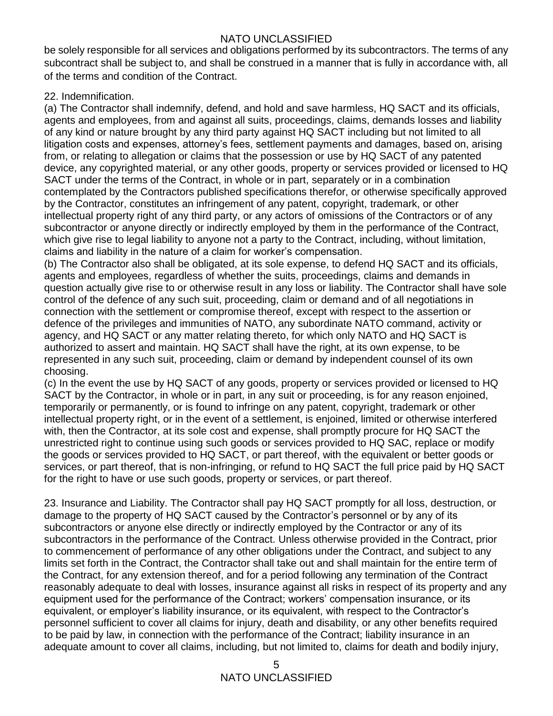be solely responsible for all services and obligations performed by its subcontractors. The terms of any subcontract shall be subject to, and shall be construed in a manner that is fully in accordance with, all of the terms and condition of the Contract.

#### 22. Indemnification.

(a) The Contractor shall indemnify, defend, and hold and save harmless, HQ SACT and its officials, agents and employees, from and against all suits, proceedings, claims, demands losses and liability of any kind or nature brought by any third party against HQ SACT including but not limited to all litigation costs and expenses, attorney's fees, settlement payments and damages, based on, arising from, or relating to allegation or claims that the possession or use by HQ SACT of any patented device, any copyrighted material, or any other goods, property or services provided or licensed to HQ SACT under the terms of the Contract, in whole or in part, separately or in a combination contemplated by the Contractors published specifications therefor, or otherwise specifically approved by the Contractor, constitutes an infringement of any patent, copyright, trademark, or other intellectual property right of any third party, or any actors of omissions of the Contractors or of any subcontractor or anyone directly or indirectly employed by them in the performance of the Contract, which give rise to legal liability to anyone not a party to the Contract, including, without limitation, claims and liability in the nature of a claim for worker's compensation.

(b) The Contractor also shall be obligated, at its sole expense, to defend HQ SACT and its officials, agents and employees, regardless of whether the suits, proceedings, claims and demands in question actually give rise to or otherwise result in any loss or liability. The Contractor shall have sole control of the defence of any such suit, proceeding, claim or demand and of all negotiations in connection with the settlement or compromise thereof, except with respect to the assertion or defence of the privileges and immunities of NATO, any subordinate NATO command, activity or agency, and HQ SACT or any matter relating thereto, for which only NATO and HQ SACT is authorized to assert and maintain. HQ SACT shall have the right, at its own expense, to be represented in any such suit, proceeding, claim or demand by independent counsel of its own choosing.

(c) In the event the use by HQ SACT of any goods, property or services provided or licensed to HQ SACT by the Contractor, in whole or in part, in any suit or proceeding, is for any reason enjoined, temporarily or permanently, or is found to infringe on any patent, copyright, trademark or other intellectual property right, or in the event of a settlement, is enjoined, limited or otherwise interfered with, then the Contractor, at its sole cost and expense, shall promptly procure for HQ SACT the unrestricted right to continue using such goods or services provided to HQ SAC, replace or modify the goods or services provided to HQ SACT, or part thereof, with the equivalent or better goods or services, or part thereof, that is non-infringing, or refund to HQ SACT the full price paid by HQ SACT for the right to have or use such goods, property or services, or part thereof.

23. Insurance and Liability. The Contractor shall pay HQ SACT promptly for all loss, destruction, or damage to the property of HQ SACT caused by the Contractor's personnel or by any of its subcontractors or anyone else directly or indirectly employed by the Contractor or any of its subcontractors in the performance of the Contract. Unless otherwise provided in the Contract, prior to commencement of performance of any other obligations under the Contract, and subject to any limits set forth in the Contract, the Contractor shall take out and shall maintain for the entire term of the Contract, for any extension thereof, and for a period following any termination of the Contract reasonably adequate to deal with losses, insurance against all risks in respect of its property and any equipment used for the performance of the Contract; workers' compensation insurance, or its equivalent, or employer's liability insurance, or its equivalent, with respect to the Contractor's personnel sufficient to cover all claims for injury, death and disability, or any other benefits required to be paid by law, in connection with the performance of the Contract; liability insurance in an adequate amount to cover all claims, including, but not limited to, claims for death and bodily injury,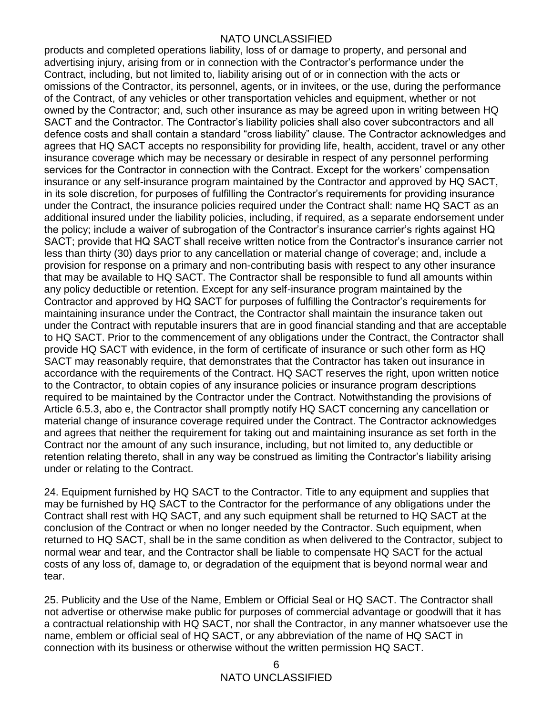products and completed operations liability, loss of or damage to property, and personal and advertising injury, arising from or in connection with the Contractor's performance under the Contract, including, but not limited to, liability arising out of or in connection with the acts or omissions of the Contractor, its personnel, agents, or in invitees, or the use, during the performance of the Contract, of any vehicles or other transportation vehicles and equipment, whether or not owned by the Contractor; and, such other insurance as may be agreed upon in writing between HQ SACT and the Contractor. The Contractor's liability policies shall also cover subcontractors and all defence costs and shall contain a standard "cross liability" clause. The Contractor acknowledges and agrees that HQ SACT accepts no responsibility for providing life, health, accident, travel or any other insurance coverage which may be necessary or desirable in respect of any personnel performing services for the Contractor in connection with the Contract. Except for the workers' compensation insurance or any self-insurance program maintained by the Contractor and approved by HQ SACT, in its sole discretion, for purposes of fulfilling the Contractor's requirements for providing insurance under the Contract, the insurance policies required under the Contract shall: name HQ SACT as an additional insured under the liability policies, including, if required, as a separate endorsement under the policy; include a waiver of subrogation of the Contractor's insurance carrier's rights against HQ SACT; provide that HQ SACT shall receive written notice from the Contractor's insurance carrier not less than thirty (30) days prior to any cancellation or material change of coverage; and, include a provision for response on a primary and non-contributing basis with respect to any other insurance that may be available to HQ SACT. The Contractor shall be responsible to fund all amounts within any policy deductible or retention. Except for any self-insurance program maintained by the Contractor and approved by HQ SACT for purposes of fulfilling the Contractor's requirements for maintaining insurance under the Contract, the Contractor shall maintain the insurance taken out under the Contract with reputable insurers that are in good financial standing and that are acceptable to HQ SACT. Prior to the commencement of any obligations under the Contract, the Contractor shall provide HQ SACT with evidence, in the form of certificate of insurance or such other form as HQ SACT may reasonably require, that demonstrates that the Contractor has taken out insurance in accordance with the requirements of the Contract. HQ SACT reserves the right, upon written notice to the Contractor, to obtain copies of any insurance policies or insurance program descriptions required to be maintained by the Contractor under the Contract. Notwithstanding the provisions of Article 6.5.3, abo e, the Contractor shall promptly notify HQ SACT concerning any cancellation or material change of insurance coverage required under the Contract. The Contractor acknowledges and agrees that neither the requirement for taking out and maintaining insurance as set forth in the Contract nor the amount of any such insurance, including, but not limited to, any deductible or retention relating thereto, shall in any way be construed as limiting the Contractor's liability arising under or relating to the Contract.

24. Equipment furnished by HQ SACT to the Contractor. Title to any equipment and supplies that may be furnished by HQ SACT to the Contractor for the performance of any obligations under the Contract shall rest with HQ SACT, and any such equipment shall be returned to HQ SACT at the conclusion of the Contract or when no longer needed by the Contractor. Such equipment, when returned to HQ SACT, shall be in the same condition as when delivered to the Contractor, subject to normal wear and tear, and the Contractor shall be liable to compensate HQ SACT for the actual costs of any loss of, damage to, or degradation of the equipment that is beyond normal wear and tear.

25. Publicity and the Use of the Name, Emblem or Official Seal or HQ SACT. The Contractor shall not advertise or otherwise make public for purposes of commercial advantage or goodwill that it has a contractual relationship with HQ SACT, nor shall the Contractor, in any manner whatsoever use the name, emblem or official seal of HQ SACT, or any abbreviation of the name of HQ SACT in connection with its business or otherwise without the written permission HQ SACT.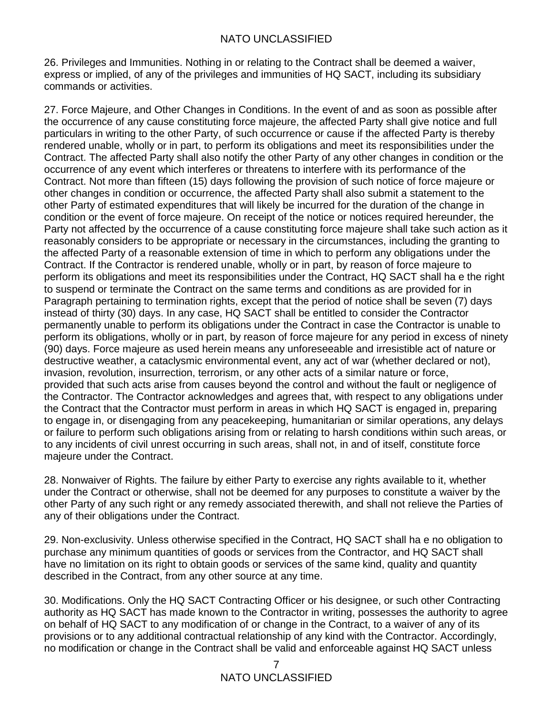26. Privileges and Immunities. Nothing in or relating to the Contract shall be deemed a waiver, express or implied, of any of the privileges and immunities of HQ SACT, including its subsidiary commands or activities.

27. Force Majeure, and Other Changes in Conditions. In the event of and as soon as possible after the occurrence of any cause constituting force majeure, the affected Party shall give notice and full particulars in writing to the other Party, of such occurrence or cause if the affected Party is thereby rendered unable, wholly or in part, to perform its obligations and meet its responsibilities under the Contract. The affected Party shall also notify the other Party of any other changes in condition or the occurrence of any event which interferes or threatens to interfere with its performance of the Contract. Not more than fifteen (15) days following the provision of such notice of force majeure or other changes in condition or occurrence, the affected Party shall also submit a statement to the other Party of estimated expenditures that will likely be incurred for the duration of the change in condition or the event of force majeure. On receipt of the notice or notices required hereunder, the Party not affected by the occurrence of a cause constituting force majeure shall take such action as it reasonably considers to be appropriate or necessary in the circumstances, including the granting to the affected Party of a reasonable extension of time in which to perform any obligations under the Contract. If the Contractor is rendered unable, wholly or in part, by reason of force majeure to perform its obligations and meet its responsibilities under the Contract, HQ SACT shall ha e the right to suspend or terminate the Contract on the same terms and conditions as are provided for in Paragraph pertaining to termination rights, except that the period of notice shall be seven (7) days instead of thirty (30) days. In any case, HQ SACT shall be entitled to consider the Contractor permanently unable to perform its obligations under the Contract in case the Contractor is unable to perform its obligations, wholly or in part, by reason of force majeure for any period in excess of ninety (90) days. Force majeure as used herein means any unforeseeable and irresistible act of nature or destructive weather, a cataclysmic environmental event, any act of war (whether declared or not), invasion, revolution, insurrection, terrorism, or any other acts of a similar nature or force, provided that such acts arise from causes beyond the control and without the fault or negligence of the Contractor. The Contractor acknowledges and agrees that, with respect to any obligations under the Contract that the Contractor must perform in areas in which HQ SACT is engaged in, preparing to engage in, or disengaging from any peacekeeping, humanitarian or similar operations, any delays or failure to perform such obligations arising from or relating to harsh conditions within such areas, or to any incidents of civil unrest occurring in such areas, shall not, in and of itself, constitute force majeure under the Contract.

28. Nonwaiver of Rights. The failure by either Party to exercise any rights available to it, whether under the Contract or otherwise, shall not be deemed for any purposes to constitute a waiver by the other Party of any such right or any remedy associated therewith, and shall not relieve the Parties of any of their obligations under the Contract.

29. Non-exclusivity. Unless otherwise specified in the Contract, HQ SACT shall ha e no obligation to purchase any minimum quantities of goods or services from the Contractor, and HQ SACT shall have no limitation on its right to obtain goods or services of the same kind, quality and quantity described in the Contract, from any other source at any time.

30. Modifications. Only the HQ SACT Contracting Officer or his designee, or such other Contracting authority as HQ SACT has made known to the Contractor in writing, possesses the authority to agree on behalf of HQ SACT to any modification of or change in the Contract, to a waiver of any of its provisions or to any additional contractual relationship of any kind with the Contractor. Accordingly, no modification or change in the Contract shall be valid and enforceable against HQ SACT unless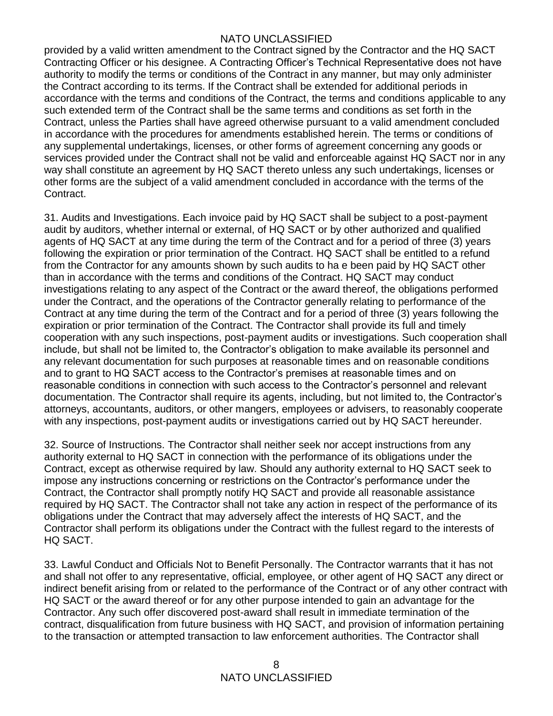provided by a valid written amendment to the Contract signed by the Contractor and the HQ SACT Contracting Officer or his designee. A Contracting Officer's Technical Representative does not have authority to modify the terms or conditions of the Contract in any manner, but may only administer the Contract according to its terms. If the Contract shall be extended for additional periods in accordance with the terms and conditions of the Contract, the terms and conditions applicable to any such extended term of the Contract shall be the same terms and conditions as set forth in the Contract, unless the Parties shall have agreed otherwise pursuant to a valid amendment concluded in accordance with the procedures for amendments established herein. The terms or conditions of any supplemental undertakings, licenses, or other forms of agreement concerning any goods or services provided under the Contract shall not be valid and enforceable against HQ SACT nor in any way shall constitute an agreement by HQ SACT thereto unless any such undertakings, licenses or other forms are the subject of a valid amendment concluded in accordance with the terms of the Contract.

31. Audits and Investigations. Each invoice paid by HQ SACT shall be subject to a post-payment audit by auditors, whether internal or external, of HQ SACT or by other authorized and qualified agents of HQ SACT at any time during the term of the Contract and for a period of three (3) years following the expiration or prior termination of the Contract. HQ SACT shall be entitled to a refund from the Contractor for any amounts shown by such audits to ha e been paid by HQ SACT other than in accordance with the terms and conditions of the Contract. HQ SACT may conduct investigations relating to any aspect of the Contract or the award thereof, the obligations performed under the Contract, and the operations of the Contractor generally relating to performance of the Contract at any time during the term of the Contract and for a period of three (3) years following the expiration or prior termination of the Contract. The Contractor shall provide its full and timely cooperation with any such inspections, post-payment audits or investigations. Such cooperation shall include, but shall not be limited to, the Contractor's obligation to make available its personnel and any relevant documentation for such purposes at reasonable times and on reasonable conditions and to grant to HQ SACT access to the Contractor's premises at reasonable times and on reasonable conditions in connection with such access to the Contractor's personnel and relevant documentation. The Contractor shall require its agents, including, but not limited to, the Contractor's attorneys, accountants, auditors, or other mangers, employees or advisers, to reasonably cooperate with any inspections, post-payment audits or investigations carried out by HQ SACT hereunder.

32. Source of Instructions. The Contractor shall neither seek nor accept instructions from any authority external to HQ SACT in connection with the performance of its obligations under the Contract, except as otherwise required by law. Should any authority external to HQ SACT seek to impose any instructions concerning or restrictions on the Contractor's performance under the Contract, the Contractor shall promptly notify HQ SACT and provide all reasonable assistance required by HQ SACT. The Contractor shall not take any action in respect of the performance of its obligations under the Contract that may adversely affect the interests of HQ SACT, and the Contractor shall perform its obligations under the Contract with the fullest regard to the interests of HQ SACT.

33. Lawful Conduct and Officials Not to Benefit Personally. The Contractor warrants that it has not and shall not offer to any representative, official, employee, or other agent of HQ SACT any direct or indirect benefit arising from or related to the performance of the Contract or of any other contract with HQ SACT or the award thereof or for any other purpose intended to gain an advantage for the Contractor. Any such offer discovered post-award shall result in immediate termination of the contract, disqualification from future business with HQ SACT, and provision of information pertaining to the transaction or attempted transaction to law enforcement authorities. The Contractor shall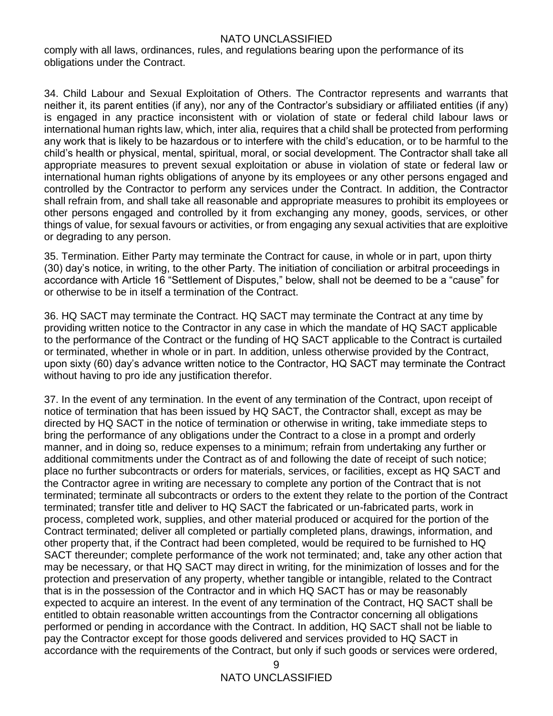comply with all laws, ordinances, rules, and regulations bearing upon the performance of its obligations under the Contract.

34. Child Labour and Sexual Exploitation of Others. The Contractor represents and warrants that neither it, its parent entities (if any), nor any of the Contractor's subsidiary or affiliated entities (if any) is engaged in any practice inconsistent with or violation of state or federal child labour laws or international human rights law, which, inter alia, requires that a child shall be protected from performing any work that is likely to be hazardous or to interfere with the child's education, or to be harmful to the child's health or physical, mental, spiritual, moral, or social development. The Contractor shall take all appropriate measures to prevent sexual exploitation or abuse in violation of state or federal law or international human rights obligations of anyone by its employees or any other persons engaged and controlled by the Contractor to perform any services under the Contract. In addition, the Contractor shall refrain from, and shall take all reasonable and appropriate measures to prohibit its employees or other persons engaged and controlled by it from exchanging any money, goods, services, or other things of value, for sexual favours or activities, or from engaging any sexual activities that are exploitive or degrading to any person.

35. Termination. Either Party may terminate the Contract for cause, in whole or in part, upon thirty (30) day's notice, in writing, to the other Party. The initiation of conciliation or arbitral proceedings in accordance with Article 16 "Settlement of Disputes," below, shall not be deemed to be a "cause" for or otherwise to be in itself a termination of the Contract.

36. HQ SACT may terminate the Contract. HQ SACT may terminate the Contract at any time by providing written notice to the Contractor in any case in which the mandate of HQ SACT applicable to the performance of the Contract or the funding of HQ SACT applicable to the Contract is curtailed or terminated, whether in whole or in part. In addition, unless otherwise provided by the Contract, upon sixty (60) day's advance written notice to the Contractor, HQ SACT may terminate the Contract without having to pro ide any justification therefor.

37. In the event of any termination. In the event of any termination of the Contract, upon receipt of notice of termination that has been issued by HQ SACT, the Contractor shall, except as may be directed by HQ SACT in the notice of termination or otherwise in writing, take immediate steps to bring the performance of any obligations under the Contract to a close in a prompt and orderly manner, and in doing so, reduce expenses to a minimum; refrain from undertaking any further or additional commitments under the Contract as of and following the date of receipt of such notice; place no further subcontracts or orders for materials, services, or facilities, except as HQ SACT and the Contractor agree in writing are necessary to complete any portion of the Contract that is not terminated; terminate all subcontracts or orders to the extent they relate to the portion of the Contract terminated; transfer title and deliver to HQ SACT the fabricated or un-fabricated parts, work in process, completed work, supplies, and other material produced or acquired for the portion of the Contract terminated; deliver all completed or partially completed plans, drawings, information, and other property that, if the Contract had been completed, would be required to be furnished to HQ SACT thereunder; complete performance of the work not terminated; and, take any other action that may be necessary, or that HQ SACT may direct in writing, for the minimization of losses and for the protection and preservation of any property, whether tangible or intangible, related to the Contract that is in the possession of the Contractor and in which HQ SACT has or may be reasonably expected to acquire an interest. In the event of any termination of the Contract, HQ SACT shall be entitled to obtain reasonable written accountings from the Contractor concerning all obligations performed or pending in accordance with the Contract. In addition, HQ SACT shall not be liable to pay the Contractor except for those goods delivered and services provided to HQ SACT in accordance with the requirements of the Contract, but only if such goods or services were ordered,